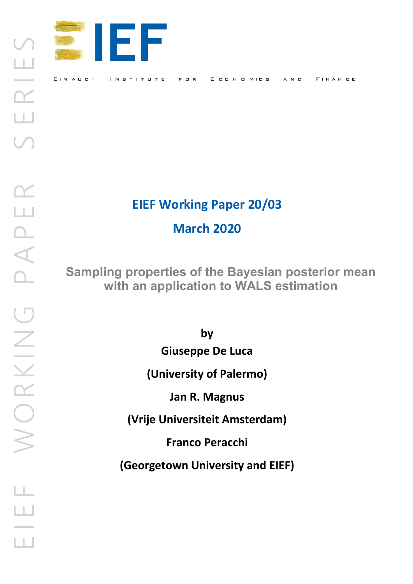

# **EIEF Working Paper 20/03**

**March 2020** 

**Sampling properties of the Bayesian posterior mean with an application to WALS estimation**

**by**

**Giuseppe De Luca**

**(University of Palermo)**

**Jan R. Magnus**

**(Vrije Universiteit Amsterdam)**

**Franco Peracchi**

**(Georgetown University and EIEF)**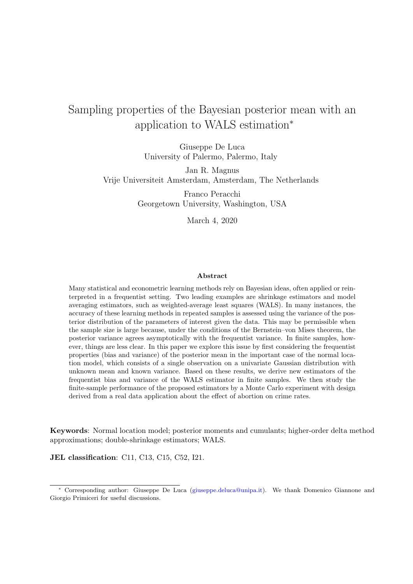# Sampling properties of the Bayesian posterior mean with an application to WALS estimation<sup>∗</sup>

Giuseppe De Luca University of Palermo, Palermo, Italy

Jan R. Magnus Vrije Universiteit Amsterdam, Amsterdam, The Netherlands

> Franco Peracchi Georgetown University, Washington, USA

> > March 4, 2020

#### Abstract

Many statistical and econometric learning methods rely on Bayesian ideas, often applied or reinterpreted in a frequentist setting. Two leading examples are shrinkage estimators and model averaging estimators, such as weighted-average least squares (WALS). In many instances, the accuracy of these learning methods in repeated samples is assessed using the variance of the posterior distribution of the parameters of interest given the data. This may be permissible when the sample size is large because, under the conditions of the Bernstein–von Mises theorem, the posterior variance agrees asymptotically with the frequentist variance. In finite samples, however, things are less clear. In this paper we explore this issue by first considering the frequentist properties (bias and variance) of the posterior mean in the important case of the normal location model, which consists of a single observation on a univariate Gaussian distribution with unknown mean and known variance. Based on these results, we derive new estimators of the frequentist bias and variance of the WALS estimator in finite samples. We then study the finite-sample performance of the proposed estimators by a Monte Carlo experiment with design derived from a real data application about the effect of abortion on crime rates.

Keywords: Normal location model; posterior moments and cumulants; higher-order delta method approximations; double-shrinkage estimators; WALS.

JEL classification: C11, C13, C15, C52, I21.

<sup>∗</sup> Corresponding author: Giuseppe De Luca [\(giuseppe.deluca@unipa.it\)](mailto:giuseppe.deluca@unipa.it). We thank Domenico Giannone and Giorgio Primiceri for useful discussions.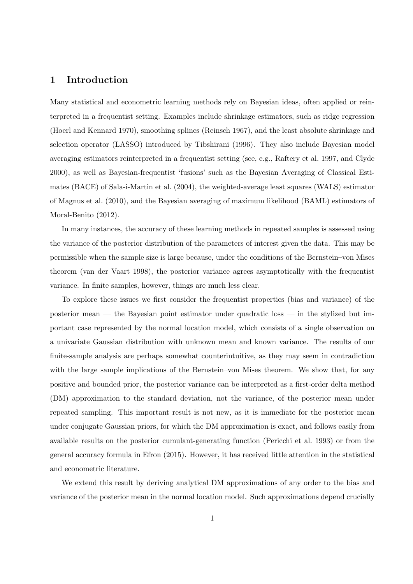# 1 Introduction

Many statistical and econometric learning methods rely on Bayesian ideas, often applied or reinterpreted in a frequentist setting. Examples include shrinkage estimators, such as ridge regression (Hoerl and Kennard 1970), smoothing splines (Reinsch 1967), and the least absolute shrinkage and selection operator (LASSO) introduced by Tibshirani (1996). They also include Bayesian model averaging estimators reinterpreted in a frequentist setting (see, e.g., Raftery et al. 1997, and Clyde 2000), as well as Bayesian-frequentist 'fusions' such as the Bayesian Averaging of Classical Estimates (BACE) of Sala-i-Martin et al. (2004), the weighted-average least squares (WALS) estimator of Magnus et al. (2010), and the Bayesian averaging of maximum likelihood (BAML) estimators of Moral-Benito (2012).

In many instances, the accuracy of these learning methods in repeated samples is assessed using the variance of the posterior distribution of the parameters of interest given the data. This may be permissible when the sample size is large because, under the conditions of the Bernstein–von Mises theorem (van der Vaart 1998), the posterior variance agrees asymptotically with the frequentist variance. In finite samples, however, things are much less clear.

To explore these issues we first consider the frequentist properties (bias and variance) of the posterior mean — the Bayesian point estimator under quadratic loss — in the stylized but important case represented by the normal location model, which consists of a single observation on a univariate Gaussian distribution with unknown mean and known variance. The results of our finite-sample analysis are perhaps somewhat counterintuitive, as they may seem in contradiction with the large sample implications of the Bernstein–von Mises theorem. We show that, for any positive and bounded prior, the posterior variance can be interpreted as a first-order delta method (DM) approximation to the standard deviation, not the variance, of the posterior mean under repeated sampling. This important result is not new, as it is immediate for the posterior mean under conjugate Gaussian priors, for which the DM approximation is exact, and follows easily from available results on the posterior cumulant-generating function (Pericchi et al. 1993) or from the general accuracy formula in Efron (2015). However, it has received little attention in the statistical and econometric literature.

We extend this result by deriving analytical DM approximations of any order to the bias and variance of the posterior mean in the normal location model. Such approximations depend crucially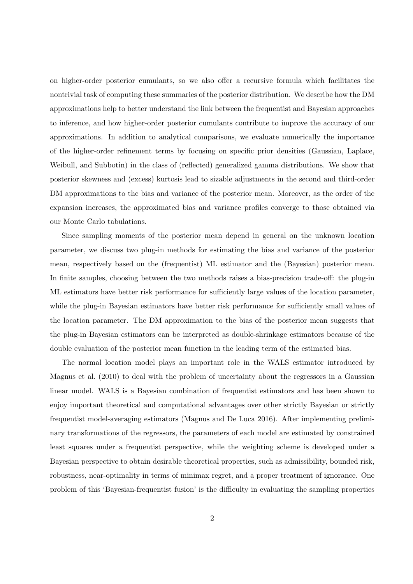on higher-order posterior cumulants, so we also offer a recursive formula which facilitates the nontrivial task of computing these summaries of the posterior distribution. We describe how the DM approximations help to better understand the link between the frequentist and Bayesian approaches to inference, and how higher-order posterior cumulants contribute to improve the accuracy of our approximations. In addition to analytical comparisons, we evaluate numerically the importance of the higher-order refinement terms by focusing on specific prior densities (Gaussian, Laplace, Weibull, and Subbotin) in the class of (reflected) generalized gamma distributions. We show that posterior skewness and (excess) kurtosis lead to sizable adjustments in the second and third-order DM approximations to the bias and variance of the posterior mean. Moreover, as the order of the expansion increases, the approximated bias and variance profiles converge to those obtained via our Monte Carlo tabulations.

Since sampling moments of the posterior mean depend in general on the unknown location parameter, we discuss two plug-in methods for estimating the bias and variance of the posterior mean, respectively based on the (frequentist) ML estimator and the (Bayesian) posterior mean. In finite samples, choosing between the two methods raises a bias-precision trade-off: the plug-in ML estimators have better risk performance for sufficiently large values of the location parameter, while the plug-in Bayesian estimators have better risk performance for sufficiently small values of the location parameter. The DM approximation to the bias of the posterior mean suggests that the plug-in Bayesian estimators can be interpreted as double-shrinkage estimators because of the double evaluation of the posterior mean function in the leading term of the estimated bias.

The normal location model plays an important role in the WALS estimator introduced by Magnus et al. (2010) to deal with the problem of uncertainty about the regressors in a Gaussian linear model. WALS is a Bayesian combination of frequentist estimators and has been shown to enjoy important theoretical and computational advantages over other strictly Bayesian or strictly frequentist model-averaging estimators (Magnus and De Luca 2016). After implementing preliminary transformations of the regressors, the parameters of each model are estimated by constrained least squares under a frequentist perspective, while the weighting scheme is developed under a Bayesian perspective to obtain desirable theoretical properties, such as admissibility, bounded risk, robustness, near-optimality in terms of minimax regret, and a proper treatment of ignorance. One problem of this 'Bayesian-frequentist fusion' is the difficulty in evaluating the sampling properties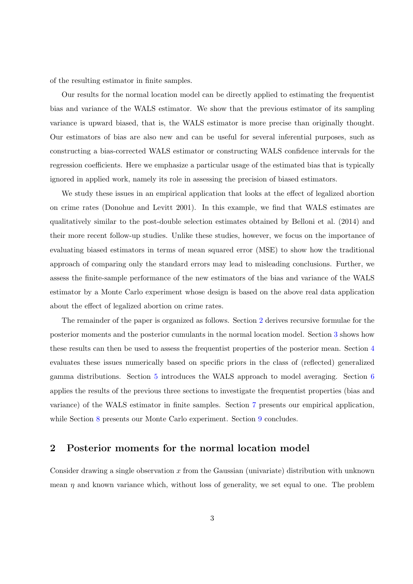of the resulting estimator in finite samples.

Our results for the normal location model can be directly applied to estimating the frequentist bias and variance of the WALS estimator. We show that the previous estimator of its sampling variance is upward biased, that is, the WALS estimator is more precise than originally thought. Our estimators of bias are also new and can be useful for several inferential purposes, such as constructing a bias-corrected WALS estimator or constructing WALS confidence intervals for the regression coefficients. Here we emphasize a particular usage of the estimated bias that is typically ignored in applied work, namely its role in assessing the precision of biased estimators.

We study these issues in an empirical application that looks at the effect of legalized abortion on crime rates (Donohue and Levitt 2001). In this example, we find that WALS estimates are qualitatively similar to the post-double selection estimates obtained by Belloni et al. (2014) and their more recent follow-up studies. Unlike these studies, however, we focus on the importance of evaluating biased estimators in terms of mean squared error (MSE) to show how the traditional approach of comparing only the standard errors may lead to misleading conclusions. Further, we assess the finite-sample performance of the new estimators of the bias and variance of the WALS estimator by a Monte Carlo experiment whose design is based on the above real data application about the effect of legalized abortion on crime rates.

The remainder of the paper is organized as follows. Section [2](#page-4-0) derives recursive formulae for the posterior moments and the posterior cumulants in the normal location model. Section [3](#page-6-0) shows how these results can then be used to assess the frequentist properties of the posterior mean. Section [4](#page-11-0) evaluates these issues numerically based on specific priors in the class of (reflected) generalized gamma distributions. Section [5](#page-15-0) introduces the WALS approach to model averaging. Section [6](#page-17-0) applies the results of the previous three sections to investigate the frequentist properties (bias and variance) of the WALS estimator in finite samples. Section [7](#page-19-0) presents our empirical application, while Section [8](#page-22-0) presents our Monte Carlo experiment. Section [9](#page-23-0) concludes.

### <span id="page-4-0"></span>2 Posterior moments for the normal location model

Consider drawing a single observation x from the Gaussian (univariate) distribution with unknown mean  $\eta$  and known variance which, without loss of generality, we set equal to one. The problem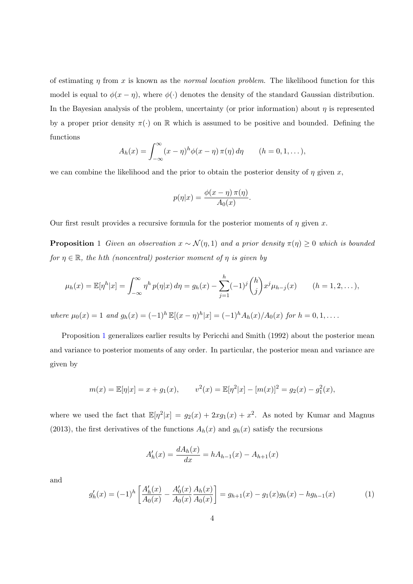of estimating  $\eta$  from x is known as the normal location problem. The likelihood function for this model is equal to  $\phi(x - \eta)$ , where  $\phi(\cdot)$  denotes the density of the standard Gaussian distribution. In the Bayesian analysis of the problem, uncertainty (or prior information) about  $\eta$  is represented by a proper prior density  $\pi(\cdot)$  on R which is assumed to be positive and bounded. Defining the functions

$$
A_h(x) = \int_{-\infty}^{\infty} (x - \eta)^h \phi(x - \eta) \, \pi(\eta) \, d\eta \qquad (h = 0, 1, \dots),
$$

we can combine the likelihood and the prior to obtain the posterior density of  $\eta$  given x,

$$
p(\eta|x) = \frac{\phi(x-\eta)\,\pi(\eta)}{A_0(x)}.
$$

<span id="page-5-0"></span>Our first result provides a recursive formula for the posterior moments of  $\eta$  given x.

**Proposition** 1 Given an observation  $x \sim \mathcal{N}(\eta, 1)$  and a prior density  $\pi(\eta) \geq 0$  which is bounded for  $\eta \in \mathbb{R}$ , the hth (noncentral) posterior moment of  $\eta$  is given by

$$
\mu_h(x) = \mathbb{E}[\eta^h | x] = \int_{-\infty}^{\infty} \eta^h p(\eta | x) d\eta = g_h(x) - \sum_{j=1}^h (-1)^j {h \choose j} x^j \mu_{h-j}(x) \qquad (h = 1, 2, ...),
$$

where  $\mu_0(x) = 1$  and  $g_h(x) = (-1)^h \mathbb{E}[(x - \eta)^h | x] = (-1)^h A_h(x) / A_0(x)$  for  $h = 0, 1, \ldots$ .

Proposition [1](#page-5-0) generalizes earlier results by Pericchi and Smith (1992) about the posterior mean and variance to posterior moments of any order. In particular, the posterior mean and variance are given by

$$
m(x) = \mathbb{E}[\eta|x] = x + g_1(x),
$$
  $v^2(x) = \mathbb{E}[\eta^2|x] - [m(x)]^2 = g_2(x) - g_1^2(x),$ 

where we used the fact that  $\mathbb{E}[\eta^2|x] = g_2(x) + 2xg_1(x) + x^2$ . As noted by Kumar and Magnus (2013), the first derivatives of the functions  $A_h(x)$  and  $g_h(x)$  satisfy the recursions

$$
A'_{h}(x) = \frac{dA_{h}(x)}{dx} = hA_{h-1}(x) - A_{h+1}(x)
$$

and

<span id="page-5-1"></span>
$$
g'_h(x) = (-1)^h \left[ \frac{A'_h(x)}{A_0(x)} - \frac{A'_0(x)}{A_0(x)} \frac{A_h(x)}{A_0(x)} \right] = g_{h+1}(x) - g_1(x)g_h(x) - h g_{h-1}(x) \tag{1}
$$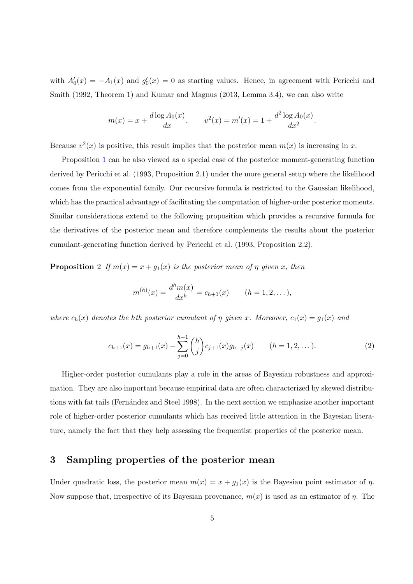with  $A'_0(x) = -A_1(x)$  and  $g'_0(x) = 0$  as starting values. Hence, in agreement with Pericchi and Smith (1992, Theorem 1) and Kumar and Magnus (2013, Lemma 3.4), we can also write

$$
m(x) = x + \frac{d \log A_0(x)}{dx}
$$
,  $v^2(x) = m'(x) = 1 + \frac{d^2 \log A_0(x)}{dx^2}$ .

Because  $v^2(x)$  is positive, this result implies that the posterior mean  $m(x)$  is increasing in x.

Proposition [1](#page-5-0) can be also viewed as a special case of the posterior moment-generating function derived by Pericchi et al. (1993, Proposition 2.1) under the more general setup where the likelihood comes from the exponential family. Our recursive formula is restricted to the Gaussian likelihood, which has the practical advantage of facilitating the computation of higher-order posterior moments. Similar considerations extend to the following proposition which provides a recursive formula for the derivatives of the posterior mean and therefore complements the results about the posterior cumulant-generating function derived by Pericchi et al. (1993, Proposition 2.2).

<span id="page-6-1"></span>**Proposition** 2 If  $m(x) = x + g_1(x)$  is the posterior mean of  $\eta$  given x, then

$$
m^{(h)}(x) = \frac{d^h m(x)}{dx^h} = c_{h+1}(x) \qquad (h = 1, 2, \dots),
$$

where  $c_h(x)$  denotes the hth posterior cumulant of  $\eta$  given x. Moreover,  $c_1(x) = g_1(x)$  and

<span id="page-6-2"></span>
$$
c_{h+1}(x) = g_{h+1}(x) - \sum_{j=0}^{h-1} {h \choose j} c_{j+1}(x) g_{h-j}(x) \qquad (h = 1, 2, ...).
$$
 (2)

Higher-order posterior cumulants play a role in the areas of Bayesian robustness and approximation. They are also important because empirical data are often characterized by skewed distributions with fat tails (Fernández and Steel 1998). In the next section we emphasize another important role of higher-order posterior cumulants which has received little attention in the Bayesian literature, namely the fact that they help assessing the frequentist properties of the posterior mean.

# <span id="page-6-0"></span>3 Sampling properties of the posterior mean

Under quadratic loss, the posterior mean  $m(x) = x + g_1(x)$  is the Bayesian point estimator of  $\eta$ . Now suppose that, irrespective of its Bayesian provenance,  $m(x)$  is used as an estimator of  $\eta$ . The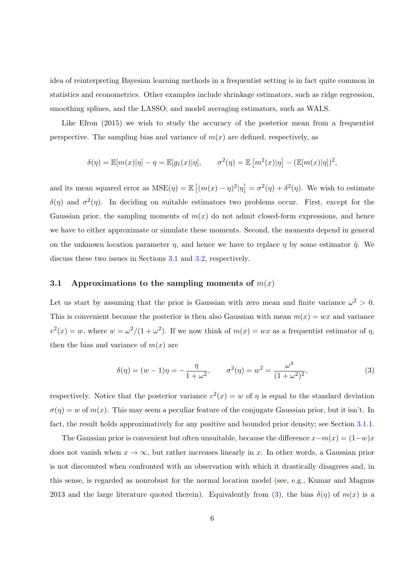idea of reinterpreting Bayesian learning methods in a frequentist setting is in fact quite common in statistics and econometrics. Other examples include shrinkage estimators, such as ridge regression, smoothing splines, and the LASSO; and model averaging estimators, such as WALS.

Like Efron  $(2015)$  we wish to study the accuracy of the posterior mean from a frequentist perspective. The sampling bias and variance of  $m(x)$  are defined, respectively, as

$$
\delta(\eta) = \mathbb{E}[m(x)|\eta] - \eta = \mathbb{E}[g_1(x)|\eta], \qquad \sigma^2(\eta) = \mathbb{E}[m^2(x)|\eta] - (\mathbb{E}[m(x)|\eta])^2,
$$

and its mean squared error as  $MSE(\eta) = \mathbb{E}[(m(x) - \eta)^2 | \eta] = \sigma^2(\eta) + \delta^2(\eta)$ . We wish to estimate  $\delta(\eta)$  and  $\sigma^2(\eta)$ . In deciding on suitable estimators two problems occur. First, except for the Gaussian prior, the sampling moments of  $m(x)$  do not admit closed-form expressions, and hence we have to either approximate or simulate these moments. Second, the moments depend in general on the unknown location parameter  $\eta$ , and hence we have to replace  $\eta$  by some estimator  $\hat{\eta}$ . We discuss these two issues in Sections [3.1](#page-7-0) and [3.2,](#page-10-0) respectively.

#### <span id="page-7-0"></span>3.1 Approximations to the sampling moments of  $m(x)$

Let us start by assuming that the prior is Gaussian with zero mean and finite variance  $\omega^2 > 0$ . This is convenient because the posterior is then also Gaussian with mean  $m(x) = wx$  and variance  $v^2(x) = w$ , where  $w = \omega^2/(1 + \omega^2)$ . If we now think of  $m(x) = wx$  as a frequentist estimator of  $\eta$ , then the bias and variance of  $m(x)$  are

<span id="page-7-1"></span>
$$
\delta(\eta) = (w - 1)\eta = -\frac{\eta}{1 + \omega^2}, \qquad \sigma^2(\eta) = w^2 = \frac{\omega^4}{(1 + \omega^2)^2},
$$
\n(3)

respectively. Notice that the posterior variance  $v^2(x) = w$  of  $\eta$  is equal to the standard deviation  $\sigma(\eta) = w$  of  $m(x)$ . This may seem a peculiar feature of the conjugate Gaussian prior, but it isn't. In fact, the result holds approximatively for any positive and bounded prior density; see Section [3.1.1.](#page-8-0)

The Gaussian prior is convenient but often unsuitable, because the difference  $x-m(x) = (1-w)x$ does not vanish when  $x \to \infty$ , but rather increases linearly in x. In other words, a Gaussian prior is not discounted when confronted with an observation with which it drastically disagrees and, in this sense, is regarded as nonrobust for the normal location model (see, e.g., Kumar and Magnus 2013 and the large literature quoted therein). Equivalently from [\(3\)](#page-7-1), the bias  $\delta(\eta)$  of  $m(x)$  is a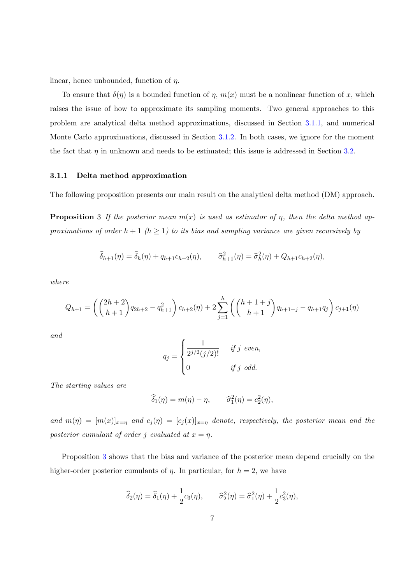linear, hence unbounded, function of  $\eta$ .

To ensure that  $\delta(\eta)$  is a bounded function of  $\eta$ ,  $m(x)$  must be a nonlinear function of x, which raises the issue of how to approximate its sampling moments. Two general approaches to this problem are analytical delta method approximations, discussed in Section [3.1.1,](#page-8-0) and numerical Monte Carlo approximations, discussed in Section [3.1.2.](#page-10-1) In both cases, we ignore for the moment the fact that  $\eta$  in unknown and needs to be estimated; this issue is addressed in Section [3.2.](#page-10-0)

#### <span id="page-8-0"></span>3.1.1 Delta method approximation

<span id="page-8-1"></span>The following proposition presents our main result on the analytical delta method (DM) approach.

**Proposition** 3 If the posterior mean  $m(x)$  is used as estimator of  $\eta$ , then the delta method approximations of order  $h + 1$  ( $h \ge 1$ ) to its bias and sampling variance are given recursively by

$$
\widehat{\delta}_{h+1}(\eta) = \widehat{\delta}_h(\eta) + q_{h+1}c_{h+2}(\eta), \qquad \widehat{\sigma}_{h+1}^2(\eta) = \widehat{\sigma}_h^2(\eta) + Q_{h+1}c_{h+2}(\eta),
$$

where

$$
Q_{h+1} = \left( \binom{2h+2}{h+1} q_{2h+2} - q_{h+1}^2 \right) c_{h+2}(\eta) + 2 \sum_{j=1}^h \left( \binom{h+1+j}{h+1} q_{h+1+j} - q_{h+1} q_j \right) c_{j+1}(\eta)
$$

and

$$
q_j = \begin{cases} \frac{1}{2^{j/2}(j/2)!} & \text{if } j \text{ even,} \\ 0 & \text{if } j \text{ odd.} \end{cases}
$$

The starting values are

$$
\widehat{\delta}_1(\eta) = m(\eta) - \eta, \qquad \widehat{\sigma}_1^2(\eta) = c_2^2(\eta),
$$

and  $m(\eta) = [m(x)]_{x=\eta}$  and  $c_j(\eta) = [c_j(x)]_{x=\eta}$  denote, respectively, the posterior mean and the posterior cumulant of order j evaluated at  $x = \eta$ .

Proposition [3](#page-8-1) shows that the bias and variance of the posterior mean depend crucially on the higher-order posterior cumulants of  $\eta$ . In particular, for  $h = 2$ , we have

$$
\widehat{\delta}_2(\eta) = \widehat{\delta}_1(\eta) + \frac{1}{2}c_3(\eta), \qquad \widehat{\sigma}_2^2(\eta) = \widehat{\sigma}_1^2(\eta) + \frac{1}{2}c_3^2(\eta),
$$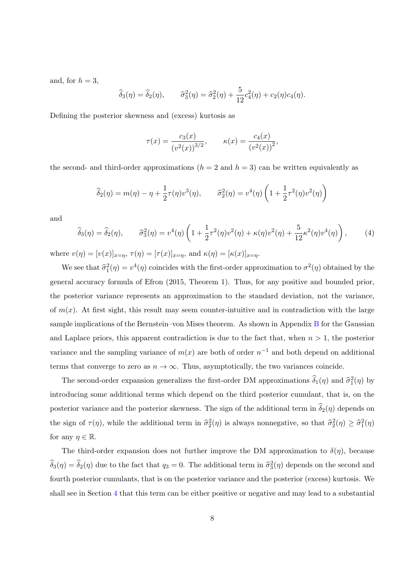and, for  $h = 3$ ,

$$
\widehat{\delta}_3(\eta) = \widehat{\delta}_2(\eta), \qquad \widehat{\sigma}_3^2(\eta) = \widehat{\sigma}_2^2(\eta) + \frac{5}{12}c_4^2(\eta) + c_2(\eta)c_4(\eta).
$$

Defining the posterior skewness and (excess) kurtosis as

$$
\tau(x) = \frac{c_3(x)}{(v^2(x))^{3/2}}, \qquad \kappa(x) = \frac{c_4(x)}{(v^2(x))^2},
$$

the second- and third-order approximations  $(h = 2 \text{ and } h = 3)$  can be written equivalently as

$$
\widehat{\delta}_2(\eta) = m(\eta) - \eta + \frac{1}{2}\tau(\eta)v^3(\eta), \qquad \widehat{\sigma}_2^2(\eta) = v^4(\eta)\left(1 + \frac{1}{2}\tau^2(\eta)v^2(\eta)\right)
$$

and

<span id="page-9-0"></span>
$$
\widehat{\delta}_3(\eta) = \widehat{\delta}_2(\eta), \qquad \widehat{\sigma}_3^2(\eta) = v^4(\eta) \left( 1 + \frac{1}{2} \tau^2(\eta) v^2(\eta) + \kappa(\eta) v^2(\eta) + \frac{5}{12} \kappa^2(\eta) v^4(\eta) \right), \tag{4}
$$

where  $v(\eta) = [v(x)]_{x=\eta}$ ,  $\tau(\eta) = [\tau(x)]_{x=\eta}$ , and  $\kappa(\eta) = [\kappa(x)]_{x=\eta}$ .

We see that  $\hat{\sigma}_1^2(\eta) = v^4(\eta)$  coincides with the first-order approximation to  $\sigma^2(\eta)$  obtained by the general accuracy formula of Efron (2015, Theorem 1). Thus, for any positive and bounded prior, the posterior variance represents an approximation to the standard deviation, not the variance, of  $m(x)$ . At first sight, this result may seem counter-intuitive and in contradiction with the large sample implications of the Bernstein–von Mises theorem. As shown in Appendix [B](#page-35-0) for the Gaussian and Laplace priors, this apparent contradiction is due to the fact that, when  $n > 1$ , the posterior variance and the sampling variance of  $m(x)$  are both of order  $n^{-1}$  and both depend on additional terms that converge to zero as  $n \to \infty$ . Thus, asymptotically, the two variances coincide.

The second-order expansion generalizes the first-order DM approximations  $\hat{\delta}_1(\eta)$  and  $\hat{\sigma}_1^2(\eta)$  by introducing some additional terms which depend on the third posterior cumulant, that is, on the posterior variance and the posterior skewness. The sign of the additional term in  $\hat{\delta}_2(\eta)$  depends on the sign of  $\tau(\eta)$ , while the additional term in  $\hat{\sigma}_2^2(\eta)$  is always nonnegative, so that  $\hat{\sigma}_2^2(\eta) \geq \hat{\sigma}_1^2(\eta)$ for any  $\eta \in \mathbb{R}$ .

The third-order expansion does not further improve the DM approximation to  $\delta(\eta)$ , because  $\widehat{\delta}_3(\eta) = \widehat{\delta}_2(\eta)$  due to the fact that  $q_3 = 0$ . The additional term in  $\widehat{\sigma}_3^2(\eta)$  depends on the second and fourth posterior cumulants, that is on the posterior variance and the posterior (excess) kurtosis. We shall see in Section [4](#page-11-0) that this term can be either positive or negative and may lead to a substantial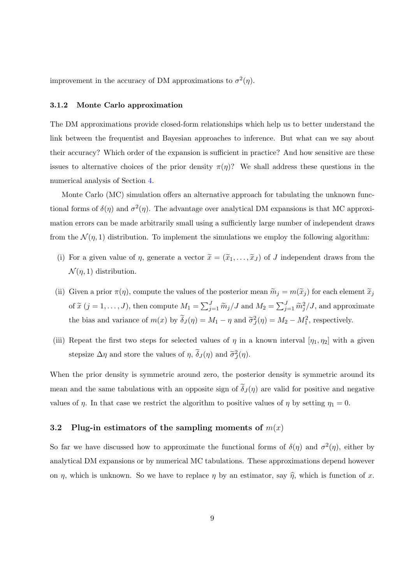improvement in the accuracy of DM approximations to  $\sigma^2(\eta)$ .

#### <span id="page-10-1"></span>3.1.2 Monte Carlo approximation

The DM approximations provide closed-form relationships which help us to better understand the link between the frequentist and Bayesian approaches to inference. But what can we say about their accuracy? Which order of the expansion is sufficient in practice? And how sensitive are these issues to alternative choices of the prior density  $\pi(\eta)$ ? We shall address these questions in the numerical analysis of Section [4.](#page-11-0)

Monte Carlo (MC) simulation offers an alternative approach for tabulating the unknown functional forms of  $\delta(\eta)$  and  $\sigma^2(\eta)$ . The advantage over analytical DM expansions is that MC approximation errors can be made arbitrarily small using a sufficiently large number of independent draws from the  $\mathcal{N}(\eta, 1)$  distribution. To implement the simulations we employ the following algorithm:

- (i) For a given value of  $\eta$ , generate a vector  $\tilde{x} = (\tilde{x}_1, \ldots, \tilde{x}_J)$  of J independent draws from the  $\mathcal{N}(\eta, 1)$  distribution.
- (ii) Given a prior  $\pi(\eta)$ , compute the values of the posterior mean  $\widetilde{m}_j = m(\widetilde{x}_j)$  for each element  $\widetilde{x}_j$ of  $\tilde{x}$   $(j = 1, ..., J)$ , then compute  $M_1 = \sum_{j=1}^{J} \tilde{m}_j / J$  and  $M_2 = \sum_{j=1}^{J} \tilde{m}_j^2 / J$ , and approximate the bias and variance of  $m(x)$  by  $\tilde{\delta}_J(\eta) = M_1 - \eta$  and  $\tilde{\sigma}_J^2(\eta) = M_2 - M_1^2$ , respectively.
- (iii) Repeat the first two steps for selected values of  $\eta$  in a known interval  $[\eta_1, \eta_2]$  with a given stepsize  $\Delta \eta$  and store the values of  $\eta$ ,  $\tilde{\delta}_J(\eta)$  and  $\tilde{\sigma}_J^2(\eta)$ .

When the prior density is symmetric around zero, the posterior density is symmetric around its mean and the same tabulations with an opposite sign of  $\delta_J(\eta)$  are valid for positive and negative values of  $\eta$ . In that case we restrict the algorithm to positive values of  $\eta$  by setting  $\eta_1 = 0$ .

#### <span id="page-10-0"></span>3.2 Plug-in estimators of the sampling moments of  $m(x)$

So far we have discussed how to approximate the functional forms of  $\delta(\eta)$  and  $\sigma^2(\eta)$ , either by analytical DM expansions or by numerical MC tabulations. These approximations depend however on  $\eta$ , which is unknown. So we have to replace  $\eta$  by an estimator, say  $\hat{\eta}$ , which is function of x.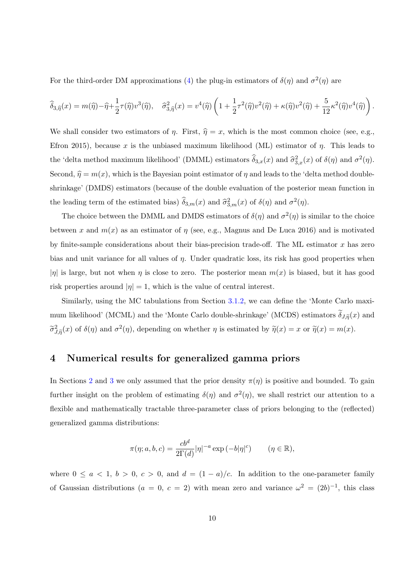For the third-order DM approximations [\(4\)](#page-9-0) the plug-in estimators of  $\delta(\eta)$  and  $\sigma^2(\eta)$  are

$$
\widehat{\delta}_{3,\widehat{\eta}}(x) = m(\widehat{\eta}) - \widehat{\eta} + \frac{1}{2}\tau(\widehat{\eta})v^3(\widehat{\eta}), \quad \widehat{\sigma}_{3,\widehat{\eta}}^2(x) = v^4(\widehat{\eta})\left(1 + \frac{1}{2}\tau^2(\widehat{\eta})v^2(\widehat{\eta}) + \kappa(\widehat{\eta})v^2(\widehat{\eta}) + \frac{5}{12}\kappa^2(\widehat{\eta})v^4(\widehat{\eta})\right).
$$

We shall consider two estimators of  $\eta$ . First,  $\hat{\eta} = x$ , which is the most common choice (see, e.g., Efron 2015), because x is the unbiased maximum likelihood (ML) estimator of  $\eta$ . This leads to the 'delta method maximum likelihood' (DMML) estimators  $\hat{\delta}_{3,x}(x)$  and  $\hat{\sigma}_{3,x}^2(x)$  of  $\delta(\eta)$  and  $\sigma^2(\eta)$ . Second,  $\hat{\eta} = m(x)$ , which is the Bayesian point estimator of  $\eta$  and leads to the 'delta method doubleshrinkage' (DMDS) estimators (because of the double evaluation of the posterior mean function in the leading term of the estimated bias)  $\hat{\delta}_{3,m}(x)$  and  $\hat{\sigma}_{3,m}^2(x)$  of  $\delta(\eta)$  and  $\sigma^2(\eta)$ .

The choice between the DMML and DMDS estimators of  $\delta(\eta)$  and  $\sigma^2(\eta)$  is similar to the choice between x and  $m(x)$  as an estimator of  $\eta$  (see, e.g., Magnus and De Luca 2016) and is motivated by finite-sample considerations about their bias-precision trade-off. The ML estimator  $x$  has zero bias and unit variance for all values of  $\eta$ . Under quadratic loss, its risk has good properties when |η| is large, but not when  $\eta$  is close to zero. The posterior mean  $m(x)$  is biased, but it has good risk properties around  $|\eta| = 1$ , which is the value of central interest.

Similarly, using the MC tabulations from Section [3.1.2,](#page-10-1) we can define the 'Monte Carlo maximum likelihood' (MCML) and the 'Monte Carlo double-shrinkage' (MCDS) estimators  $\delta_{J,\tilde{\eta}}(x)$  and  $\tilde{\sigma}_{J,\tilde{\eta}}^2(x)$  of  $\delta(\eta)$  and  $\sigma^2(\eta)$ , depending on whether  $\eta$  is estimated by  $\tilde{\eta}(x) = x$  or  $\tilde{\eta}(x) = m(x)$ .

#### <span id="page-11-0"></span>4 Numerical results for generalized gamma priors

In Sections [2](#page-4-0) and [3](#page-6-0) we only assumed that the prior density  $\pi(\eta)$  is positive and bounded. To gain further insight on the problem of estimating  $\delta(\eta)$  and  $\sigma^2(\eta)$ , we shall restrict our attention to a flexible and mathematically tractable three-parameter class of priors belonging to the (reflected) generalized gamma distributions:

$$
\pi(\eta; a, b, c) = \frac{cb^d}{2\Gamma(d)} |\eta|^{-a} \exp(-b|\eta|^c) \qquad (\eta \in \mathbb{R}),
$$

where  $0 \le a < 1, b > 0, c > 0$ , and  $d = (1 - a)/c$ . In addition to the one-parameter family of Gaussian distributions ( $a = 0, c = 2$ ) with mean zero and variance  $\omega^2 = (2b)^{-1}$ , this class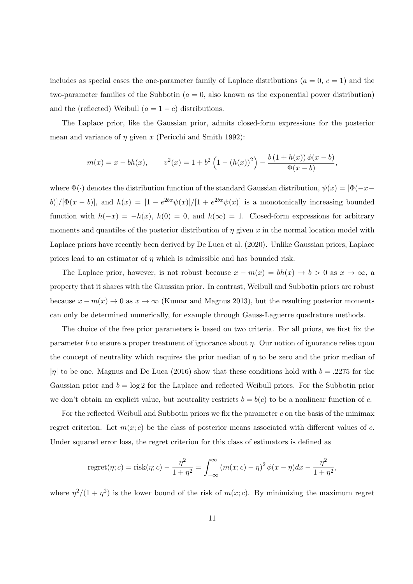includes as special cases the one-parameter family of Laplace distributions ( $a = 0, c = 1$ ) and the two-parameter families of the Subbotin  $(a = 0,$  also known as the exponential power distribution) and the (reflected) Weibull  $(a = 1 - c)$  distributions.

The Laplace prior, like the Gaussian prior, admits closed-form expressions for the posterior mean and variance of  $\eta$  given x (Pericchi and Smith 1992):

$$
m(x) = x - bh(x), \qquad v^{2}(x) = 1 + b^{2} \left( 1 - (h(x))^{2} \right) - \frac{b(1 + h(x)) \phi(x - b)}{\Phi(x - b)},
$$

where  $\Phi(\cdot)$  denotes the distribution function of the standard Gaussian distribution,  $\psi(x) = [\Phi(-x - \tau)]$ b)]/[ $\Phi(x-b)$ ], and  $h(x) = \frac{1-e^{2bx}\psi(x)}{1+e^{2bx}\psi(x)}$  is a monotonically increasing bounded function with  $h(-x) = -h(x)$ ,  $h(0) = 0$ , and  $h(\infty) = 1$ . Closed-form expressions for arbitrary moments and quantiles of the posterior distribution of  $\eta$  given x in the normal location model with Laplace priors have recently been derived by De Luca et al. (2020). Unlike Gaussian priors, Laplace priors lead to an estimator of  $\eta$  which is admissible and has bounded risk.

The Laplace prior, however, is not robust because  $x - m(x) = bh(x) \to b > 0$  as  $x \to \infty$ , a property that it shares with the Gaussian prior. In contrast, Weibull and Subbotin priors are robust because  $x - m(x) \to 0$  as  $x \to \infty$  (Kumar and Magnus 2013), but the resulting posterior moments can only be determined numerically, for example through Gauss-Laguerre quadrature methods.

The choice of the free prior parameters is based on two criteria. For all priors, we first fix the parameter b to ensure a proper treatment of ignorance about  $\eta$ . Our notion of ignorance relies upon the concept of neutrality which requires the prior median of  $\eta$  to be zero and the prior median of  $|\eta|$  to be one. Magnus and De Luca (2016) show that these conditions hold with  $b = .2275$  for the Gaussian prior and  $b = \log 2$  for the Laplace and reflected Weibull priors. For the Subbotin prior we don't obtain an explicit value, but neutrality restricts  $b = b(c)$  to be a nonlinear function of c.

For the reflected Weibull and Subbotin priors we fix the parameter  $c$  on the basis of the minimax regret criterion. Let  $m(x; c)$  be the class of posterior means associated with different values of c. Under squared error loss, the regret criterion for this class of estimators is defined as

regret(
$$
\eta
$$
; c) = risk( $\eta$ ; c) -  $\frac{\eta^2}{1 + \eta^2}$  =  $\int_{-\infty}^{\infty} (m(x; c) - \eta)^2 \phi(x - \eta) dx - \frac{\eta^2}{1 + \eta^2}$ ,

where  $\eta^2/(1+\eta^2)$  is the lower bound of the risk of  $m(x; c)$ . By minimizing the maximum regret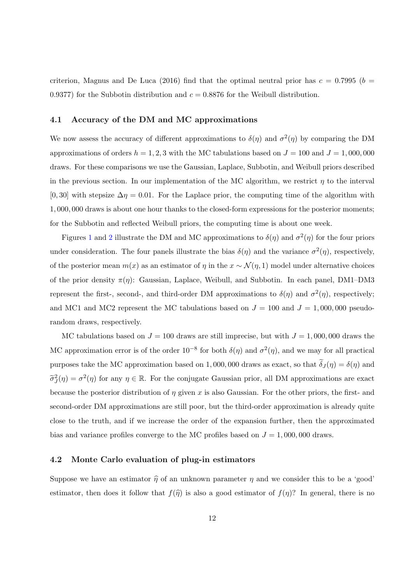criterion, Magnus and De Luca (2016) find that the optimal neutral prior has  $c = 0.7995$  ( $b =$ 0.9377) for the Subbotin distribution and  $c = 0.8876$  for the Weibull distribution.

#### 4.1 Accuracy of the DM and MC approximations

We now assess the accuracy of different approximations to  $\delta(\eta)$  and  $\sigma^2(\eta)$  by comparing the DM approximations of orders  $h = 1, 2, 3$  with the MC tabulations based on  $J = 100$  and  $J = 1,000,000$ draws. For these comparisons we use the Gaussian, Laplace, Subbotin, and Weibull priors described in the previous section. In our implementation of the MC algorithm, we restrict  $\eta$  to the interval  $[0, 30]$  with stepsize  $\Delta \eta = 0.01$ . For the Laplace prior, the computing time of the algorithm with 1, 000, 000 draws is about one hour thanks to the closed-form expressions for the posterior moments; for the Subbotin and reflected Weibull priors, the computing time is about one week.

Figures [1](#page-31-0) and [2](#page-31-1) illustrate the DM and MC approximations to  $\delta(\eta)$  and  $\sigma^2(\eta)$  for the four priors under consideration. The four panels illustrate the bias  $\delta(\eta)$  and the variance  $\sigma^2(\eta)$ , respectively, of the posterior mean  $m(x)$  as an estimator of  $\eta$  in the  $x \sim \mathcal{N}(\eta, 1)$  model under alternative choices of the prior density  $\pi(\eta)$ : Gaussian, Laplace, Weibull, and Subbotin. In each panel, DM1–DM3 represent the first-, second-, and third-order DM approximations to  $\delta(\eta)$  and  $\sigma^2(\eta)$ , respectively; and MC1 and MC2 represent the MC tabulations based on  $J = 100$  and  $J = 1,000,000$  pseudorandom draws, respectively.

MC tabulations based on  $J = 100$  draws are still imprecise, but with  $J = 1,000,000$  draws the MC approximation error is of the order  $10^{-8}$  for both  $\delta(\eta)$  and  $\sigma^2(\eta)$ , and we may for all practical purposes take the MC approximation based on 1,000,000 draws as exact, so that  $\delta_J(\eta) = \delta(\eta)$  and  $\tilde{\sigma}_J^2(\eta) = \sigma^2(\eta)$  for any  $\eta \in \mathbb{R}$ . For the conjugate Gaussian prior, all DM approximations are exact because the posterior distribution of  $\eta$  given x is also Gaussian. For the other priors, the first- and second-order DM approximations are still poor, but the third-order approximation is already quite close to the truth, and if we increase the order of the expansion further, then the approximated bias and variance profiles converge to the MC profiles based on  $J = 1,000,000$  draws.

#### <span id="page-13-0"></span>4.2 Monte Carlo evaluation of plug-in estimators

Suppose we have an estimator  $\hat{\eta}$  of an unknown parameter  $\eta$  and we consider this to be a 'good' estimator, then does it follow that  $f(\hat{\eta})$  is also a good estimator of  $f(\eta)$ ? In general, there is no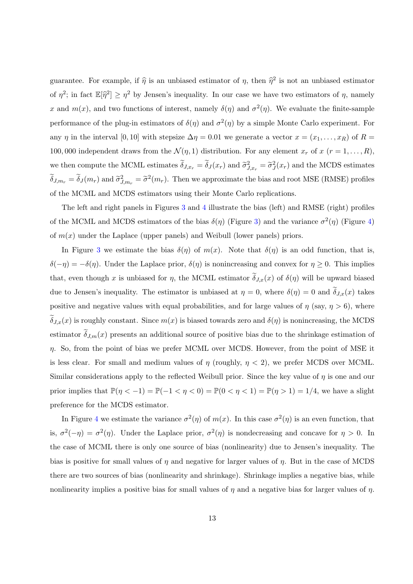guarantee. For example, if  $\hat{\eta}$  is an unbiased estimator of  $\eta$ , then  $\hat{\eta}^2$  is not an unbiased estimator of  $\eta^2$ ; in fact  $\mathbb{E}[\hat{\eta}^2] \geq \eta^2$  by Jensen's inequality. In our case we have two estimators of  $\eta$ , namely x and  $m(x)$ , and two functions of interest, namely  $\delta(\eta)$  and  $\sigma^2(\eta)$ . We evaluate the finite-sample performance of the plug-in estimators of  $\delta(\eta)$  and  $\sigma^2(\eta)$  by a simple Monte Carlo experiment. For any  $\eta$  in the interval [0, 10] with stepsize  $\Delta \eta = 0.01$  we generate a vector  $x = (x_1, \ldots, x_R)$  of  $R =$ 100, 000 independent draws from the  $\mathcal{N}(\eta, 1)$  distribution. For any element  $x_r$  of  $x$   $(r = 1, \ldots, R)$ , we then compute the MCML estimates  $\tilde{\delta}_{J,x_r} = \tilde{\delta}_J(x_r)$  and  $\tilde{\sigma}_{J,x_r}^2 = \tilde{\sigma}_J^2(x_r)$  and the MCDS estimates  $\tilde{\delta}_{J,m_r} = \tilde{\delta}_J(m_r)$  and  $\tilde{\sigma}_{J,m_r}^2 = \tilde{\sigma}^2(m_r)$ . Then we approximate the bias and root MSE (RMSE) profiles of the MCML and MCDS estimators using their Monte Carlo replications.

The left and right panels in Figures [3](#page-32-0) and [4](#page-32-1) illustrate the bias (left) and RMSE (right) profiles of the MCML and MCDS estimators of the bias  $\delta(\eta)$  (Figure [3\)](#page-32-0) and the variance  $\sigma^2(\eta)$  (Figure [4\)](#page-32-1) of  $m(x)$  under the Laplace (upper panels) and Weibull (lower panels) priors.

In Figure [3](#page-32-0) we estimate the bias  $\delta(\eta)$  of  $m(x)$ . Note that  $\delta(\eta)$  is an odd function, that is,  $\delta(-\eta) = -\delta(\eta)$ . Under the Laplace prior,  $\delta(\eta)$  is nonincreasing and convex for  $\eta \geq 0$ . This implies that, even though x is unbiased for  $\eta$ , the MCML estimator  $\delta_{J,x}(x)$  of  $\delta(\eta)$  will be upward biased due to Jensen's inequality. The estimator is unbiased at  $\eta = 0$ , where  $\delta(\eta) = 0$  and  $\delta_{J,x}(x)$  takes positive and negative values with equal probabilities, and for large values of  $\eta$  (say,  $\eta > 6$ ), where  $\delta_{J,x}(x)$  is roughly constant. Since  $m(x)$  is biased towards zero and  $\delta(\eta)$  is nonincreasing, the MCDS estimator  $\delta_{J,m}(x)$  presents an additional source of positive bias due to the shrinkage estimation of  $\eta$ . So, from the point of bias we prefer MCML over MCDS. However, from the point of MSE it is less clear. For small and medium values of  $\eta$  (roughly,  $\eta$  < 2), we prefer MCDS over MCML. Similar considerations apply to the reflected Weibull prior. Since the key value of  $\eta$  is one and our prior implies that  $\mathbb{P}(\eta < -1) = \mathbb{P}(-1 < \eta < 0) = \mathbb{P}(0 < \eta < 1) = \mathbb{P}(\eta > 1) = 1/4$ , we have a slight preference for the MCDS estimator.

In Figure [4](#page-32-1) we estimate the variance  $\sigma^2(\eta)$  of  $m(x)$ . In this case  $\sigma^2(\eta)$  is an even function, that is,  $\sigma^2(-\eta) = \sigma^2(\eta)$ . Under the Laplace prior,  $\sigma^2(\eta)$  is nondecreasing and concave for  $\eta > 0$ . In the case of MCML there is only one source of bias (nonlinearity) due to Jensen's inequality. The bias is positive for small values of  $\eta$  and negative for larger values of  $\eta$ . But in the case of MCDS there are two sources of bias (nonlinearity and shrinkage). Shrinkage implies a negative bias, while nonlinearity implies a positive bias for small values of  $\eta$  and a negative bias for larger values of  $\eta$ .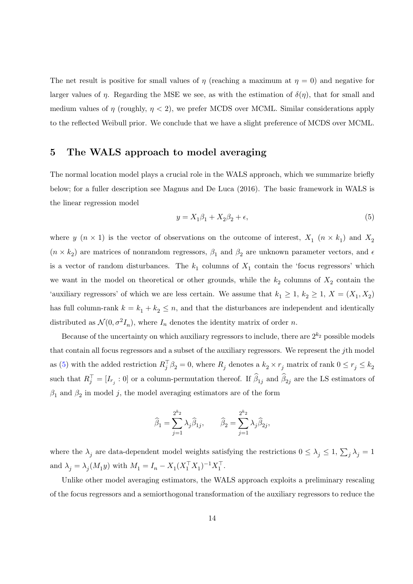The net result is positive for small values of  $\eta$  (reaching a maximum at  $\eta = 0$ ) and negative for larger values of  $\eta$ . Regarding the MSE we see, as with the estimation of  $\delta(\eta)$ , that for small and medium values of  $\eta$  (roughly,  $\eta$  < 2), we prefer MCDS over MCML. Similar considerations apply to the reflected Weibull prior. We conclude that we have a slight preference of MCDS over MCML.

# <span id="page-15-0"></span>5 The WALS approach to model averaging

The normal location model plays a crucial role in the WALS approach, which we summarize briefly below; for a fuller description see Magnus and De Luca (2016). The basic framework in WALS is the linear regression model

<span id="page-15-1"></span>
$$
y = X_1 \beta_1 + X_2 \beta_2 + \epsilon,\tag{5}
$$

where y  $(n \times 1)$  is the vector of observations on the outcome of interest,  $X_1$   $(n \times k_1)$  and  $X_2$  $(n \times k_2)$  are matrices of nonrandom regressors,  $\beta_1$  and  $\beta_2$  are unknown parameter vectors, and  $\epsilon$ is a vector of random disturbances. The  $k_1$  columns of  $X_1$  contain the 'focus regressors' which we want in the model on theoretical or other grounds, while the  $k_2$  columns of  $X_2$  contain the 'auxiliary regressors' of which we are less certain. We assume that  $k_1 \geq 1$ ,  $k_2 \geq 1$ ,  $X = (X_1, X_2)$ has full column-rank  $k = k_1 + k_2 \leq n$ , and that the disturbances are independent and identically distributed as  $\mathcal{N}(0, \sigma^2 I_n)$ , where  $I_n$  denotes the identity matrix of order n.

Because of the uncertainty on which auxiliary regressors to include, there are  $2^{k_2}$  possible models that contain all focus regressors and a subset of the auxiliary regressors. We represent the jth model as [\(5\)](#page-15-1) with the added restriction  $R_j^{\top} \beta_2 = 0$ , where  $R_j$  denotes a  $k_2 \times r_j$  matrix of rank  $0 \le r_j \le k_2$ such that  $R_j^{\top} = [I_{r_j} : 0]$  or a column-permutation thereof. If  $\widehat{\beta}_{1j}$  and  $\widehat{\beta}_{2j}$  are the LS estimators of  $\beta_1$  and  $\beta_2$  in model j, the model averaging estimators are of the form

$$
\widehat{\beta}_1 = \sum_{j=1}^{2^{k_2}} \lambda_j \widehat{\beta}_{1j}, \qquad \widehat{\beta}_2 = \sum_{j=1}^{2^{k_2}} \lambda_j \widehat{\beta}_{2j},
$$

where the  $\lambda_j$  are data-dependent model weights satisfying the restrictions  $0 \leq \lambda_j \leq 1$ ,  $\sum_j \lambda_j = 1$ and  $\lambda_j = \lambda_j (M_1 y)$  with  $M_1 = I_n - X_1 (X_1^\top X_1)^{-1} X_1^\top$ .

Unlike other model averaging estimators, the WALS approach exploits a preliminary rescaling of the focus regressors and a semiorthogonal transformation of the auxiliary regressors to reduce the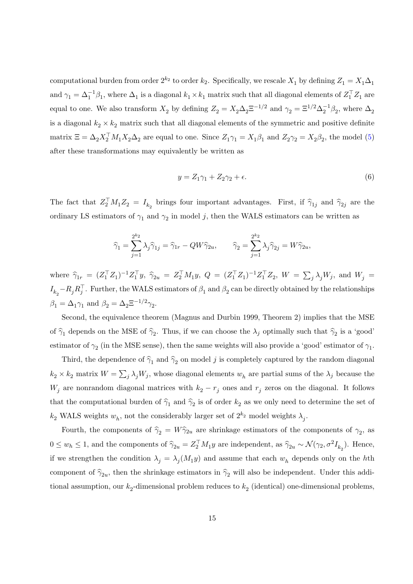computational burden from order  $2^{k_2}$  to order  $k_2$ . Specifically, we rescale  $X_1$  by defining  $Z_1 = X_1 \Delta_1$ and  $\gamma_1 = \Delta_1^{-1}\beta_1$ , where  $\Delta_1$  is a diagonal  $k_1 \times k_1$  matrix such that all diagonal elements of  $Z_1^{\top}Z_1$  are equal to one. We also transform  $X_2$  by defining  $Z_2 = X_2 \Delta_2 \Xi^{-1/2}$  and  $\gamma_2 = \Xi^{1/2} \Delta_2^{-1} \beta_2$ , where  $\Delta_2$ is a diagonal  $k_2 \times k_2$  matrix such that all diagonal elements of the symmetric and positive definite matrix  $\Xi = \Delta_2 X_2^{\top} M_1 X_2 \Delta_2$  are equal to one. Since  $Z_1 \gamma_1 = X_1 \beta_1$  and  $Z_2 \gamma_2 = X_2 \beta_2$ , the model [\(5\)](#page-15-1) after these transformations may equivalently be written as

<span id="page-16-0"></span>
$$
y = Z_1 \gamma_1 + Z_2 \gamma_2 + \epsilon. \tag{6}
$$

The fact that  $Z_2^{\top} M_1 Z_2 = I_{k_2}$  brings four important advantages. First, if  $\hat{\gamma}_{1j}$  and  $\hat{\gamma}_{2j}$  are the ordinary LS estimators of  $\gamma_1$  and  $\gamma_2$  in model j, then the WALS estimators can be written as

$$
\widehat{\gamma}_1 = \sum_{j=1}^{2^{k_2}} \lambda_j \widehat{\gamma}_{1j} = \widehat{\gamma}_{1r} - QW\widehat{\gamma}_{2u}, \qquad \widehat{\gamma}_2 = \sum_{j=1}^{2^{k_2}} \lambda_j \widehat{\gamma}_{2j} = W\widehat{\gamma}_{2u},
$$

where  $\hat{\gamma}_{1r} = (Z_1^{\top} Z_1)^{-1} Z_1^{\top} y$ ,  $\hat{\gamma}_{2u} = Z_2^{\top} M_1 y$ ,  $Q = (Z_1^{\top} Z_1)^{-1} Z_1^{\top} Z_2$ ,  $W = \sum_j \lambda_j W_j$ , and  $W_j =$  $I_{k_2} - R_j R_j^{\top}$ . Further, the WALS estimators of  $\beta_1$  and  $\beta_2$  can be directly obtained by the relationships  $\beta_1 = \Delta_1 \gamma_1$  and  $\beta_2 = \Delta_2 \Xi^{-1/2} \gamma_2$ .

Second, the equivalence theorem (Magnus and Durbin 1999, Theorem 2) implies that the MSE of  $\hat{\gamma}_1$  depends on the MSE of  $\hat{\gamma}_2$ . Thus, if we can choose the  $\lambda_j$  optimally such that  $\hat{\gamma}_2$  is a 'good' estimator of  $\gamma_2$  (in the MSE sense), then the same weights will also provide a 'good' estimator of  $\gamma_1$ .

Third, the dependence of  $\hat{\gamma}_1$  and  $\hat{\gamma}_2$  on model j is completely captured by the random diagonal  $k_2 \times k_2$  matrix  $W = \sum_j \lambda_j W_j$ , whose diagonal elements  $w_h$  are partial sums of the  $\lambda_j$  because the  $W_j$  are nonrandom diagonal matrices with  $k_2 - r_j$  ones and  $r_j$  zeros on the diagonal. It follows that the computational burden of  $\hat{\gamma}_1$  and  $\hat{\gamma}_2$  is of order  $k_2$  as we only need to determine the set of  $k_2$  WALS weights  $w_h$ , not the considerably larger set of  $2^{k_2}$  model weights  $\lambda_j$ .

Fourth, the components of  $\hat{\gamma}_2 = W\hat{\gamma}_{2u}$  are shrinkage estimators of the components of  $\gamma_2$ , as  $0 \leq w_h \leq 1$ , and the components of  $\hat{\gamma}_{2u} = Z_2^{\top} M_1 y$  are independent, as  $\hat{\gamma}_{2u} \sim \mathcal{N}(\gamma_2, \sigma^2 I_{k_2})$ . Hence, if we strengthen the condition  $\lambda_j = \lambda_j(M_1y)$  and assume that each  $w_h$  depends only on the hth component of  $\hat{\gamma}_{2u}$ , then the shrinkage estimators in  $\hat{\gamma}_2$  will also be independent. Under this additional assumption, our  $k_2$ -dimensional problem reduces to  $k_2$  (identical) one-dimensional problems,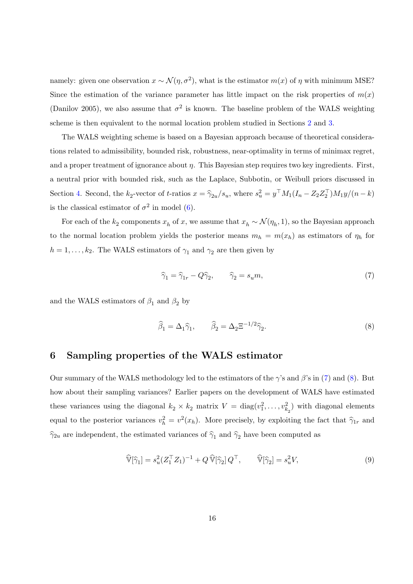namely: given one observation  $x \sim \mathcal{N}(\eta, \sigma^2)$ , what is the estimator  $m(x)$  of  $\eta$  with minimum MSE? Since the estimation of the variance parameter has little impact on the risk properties of  $m(x)$ (Danilov 2005), we also assume that  $\sigma^2$  is known. The baseline problem of the WALS weighting scheme is then equivalent to the normal location problem studied in Sections [2](#page-4-0) and [3.](#page-6-0)

The WALS weighting scheme is based on a Bayesian approach because of theoretical considerations related to admissibility, bounded risk, robustness, near-optimality in terms of minimax regret, and a proper treatment of ignorance about  $\eta$ . This Bayesian step requires two key ingredients. First, a neutral prior with bounded risk, such as the Laplace, Subbotin, or Weibull priors discussed in Section [4.](#page-11-0) Second, the  $k_2$ -vector of t-ratios  $x = \hat{\gamma}_{2u}/s_u$ , where  $s_u^2 = y^\top M_1(I_n - Z_2 Z_2^\top)M_1y/(n-k)$ is the classical estimator of  $\sigma^2$  in model [\(6\)](#page-16-0).

For each of the  $k_2$  components  $x_h$  of x, we assume that  $x_h \sim \mathcal{N}(\eta_h, 1)$ , so the Bayesian approach to the normal location problem yields the posterior means  $m_h = m(x_h)$  as estimators of  $\eta_h$  for  $h = 1, \ldots, k_2$ . The WALS estimators of  $\gamma_1$  and  $\gamma_2$  are then given by

<span id="page-17-1"></span>
$$
\widehat{\gamma}_1 = \widehat{\gamma}_{1r} - Q\widehat{\gamma}_2, \qquad \widehat{\gamma}_2 = s_u m,\tag{7}
$$

and the WALS estimators of  $\beta_1$  and  $\beta_2$  by

<span id="page-17-2"></span>
$$
\widehat{\beta}_1 = \Delta_1 \widehat{\gamma}_1, \qquad \widehat{\beta}_2 = \Delta_2 \Xi^{-1/2} \widehat{\gamma}_2. \tag{8}
$$

#### <span id="page-17-0"></span>6 Sampling properties of the WALS estimator

Our summary of the WALS methodology led to the estimators of the  $\gamma$ 's and  $\beta$ 's in [\(7\)](#page-17-1) and [\(8\)](#page-17-2). But how about their sampling variances? Earlier papers on the development of WALS have estimated these variances using the diagonal  $k_2 \times k_2$  matrix  $V = \text{diag}(v_1^2, \dots, v_{k_2}^2)$  with diagonal elements equal to the posterior variances  $v_h^2 = v^2(x_h)$ . More precisely, by exploiting the fact that  $\hat{\gamma}_{1r}$  and  $\hat{\gamma}_{2u}$  are independent, the estimated variances of  $\hat{\gamma}_1$  and  $\hat{\gamma}_2$  have been computed as

<span id="page-17-3"></span>
$$
\widehat{\mathbb{V}}[\widehat{\gamma}_1] = s_u^2 (Z_1^\top Z_1)^{-1} + Q \widehat{\mathbb{V}}[\widehat{\gamma}_2] Q^\top, \qquad \widehat{\mathbb{V}}[\widehat{\gamma}_2] = s_u^2 V,\tag{9}
$$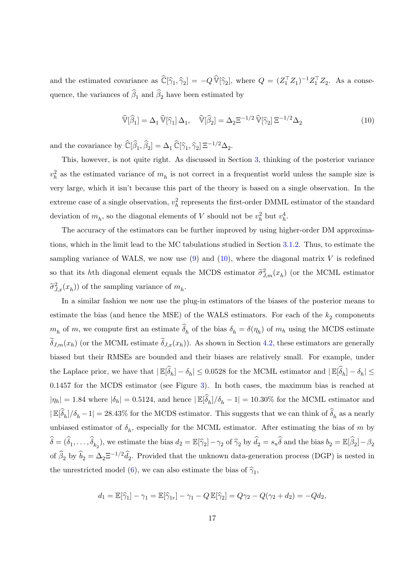and the estimated covariance as  $\widehat{\mathbb{C}}[\widehat{\gamma}_1,\widehat{\gamma}_2] = -Q \widehat{\mathbb{V}}[\widehat{\gamma}_2]$ , where  $Q = (Z_1^{\top} Z_1)^{-1} Z_1^{\top} Z_2$ . As a consequence, the variances of  $\beta_1$  and  $\beta_2$  have been estimated by

<span id="page-18-0"></span>
$$
\widehat{\mathbb{V}}[\widehat{\beta}_1] = \Delta_1 \widehat{\mathbb{V}}[\widehat{\gamma}_1] \Delta_1, \quad \widehat{\mathbb{V}}[\widehat{\beta}_2] = \Delta_2 \Xi^{-1/2} \widehat{\mathbb{V}}[\widehat{\gamma}_2] \Xi^{-1/2} \Delta_2 \tag{10}
$$

and the covariance by  $\widehat{\mathbb{C}}[\widehat{\beta}_1,\widehat{\beta}_2] = \Delta_1 \widehat{\mathbb{C}}[\widehat{\gamma}_1,\widehat{\gamma}_2] \,\Xi^{-1/2}\Delta_2.$ 

This, however, is not quite right. As discussed in Section [3,](#page-6-0) thinking of the posterior variance  $v_h^2$  as the estimated variance of  $m_h$  is not correct in a frequentist world unless the sample size is very large, which it isn't because this part of the theory is based on a single observation. In the extreme case of a single observation,  $v_h^2$  represents the first-order DMML estimator of the standard deviation of  $m_h$ , so the diagonal elements of V should not be  $v_h^2$  but  $v_h^4$ .

The accuracy of the estimators can be further improved by using higher-order DM approximations, which in the limit lead to the MC tabulations studied in Section [3.1.2.](#page-10-1) Thus, to estimate the sampling variance of WALS, we now use  $(9)$  and  $(10)$ , where the diagonal matrix V is redefined so that its hth diagonal element equals the MCDS estimator  $\tilde{\sigma}_{J,m}^2(x_h)$  (or the MCML estimator  $\widetilde{\sigma}_{J,x}^2(x_h)$  of the sampling variance of  $m_h$ .

In a similar fashion we now use the plug-in estimators of the biases of the posterior means to estimate the bias (and hence the MSE) of the WALS estimators. For each of the  $k_2$  components  $m_h$  of m, we compute first an estimate  $\delta_h$  of the bias  $\delta_h = \delta(\eta_h)$  of  $m_h$  using the MCDS estimate  $\delta_{J,m}(x_h)$  (or the MCML estimate  $\delta_{J,x}(x_h)$ ). As shown in Section [4.2,](#page-13-0) these estimators are generally biased but their RMSEs are bounded and their biases are relatively small. For example, under the Laplace prior, we have that  $|\mathbb{E}[\widehat{\delta}_h] - \delta_h| \leq 0.0528$  for the MCML estimator and  $|\mathbb{E}[\widehat{\delta}_h] - \delta_h| \leq$ 0.1457 for the MCDS estimator (see Figure [3\)](#page-32-0). In both cases, the maximum bias is reached at  $|\eta_h| = 1.84$  where  $|\delta_h| = 0.5124$ , and hence  $|\mathbb{E}[\hat{\delta}_h]/\delta_h - 1| = 10.30\%$  for the MCML estimator and  $|\mathbb{E}[\widehat{\delta}_h]/\delta_h - 1| = 28.43\%$  for the MCDS estimator. This suggests that we can think of  $\widehat{\delta}_h$  as a nearly unbiased estimator of  $\delta_h$ , especially for the MCML estimator. After estimating the bias of m by  $\widehat{\delta} = (\widehat{\delta}_1, \dots, \widehat{\delta}_{k_2}),$  we estimate the bias  $d_2 = \mathbb{E}[\widehat{\gamma}_2] - \gamma_2$  of  $\widehat{\gamma}_2$  by  $\widehat{d}_2 = s_u \widehat{\delta}$  and the bias  $b_2 = \mathbb{E}[\widehat{\beta}_2] - \beta_2$ of  $\hat{\beta}_2$  by  $\hat{b}_2 = \Delta_2 \Xi^{-1/2} \hat{d}_2$ . Provided that the unknown data-generation process (DGP) is nested in the unrestricted model [\(6\)](#page-16-0), we can also estimate the bias of  $\hat{\gamma}_1$ ,

$$
d_1 = \mathbb{E}[\hat{\gamma}_1] - \gamma_1 = \mathbb{E}[\hat{\gamma}_{1r}] - \gamma_1 - Q \mathbb{E}[\hat{\gamma}_2] = Q\gamma_2 - Q(\gamma_2 + d_2) = -Qd_2,
$$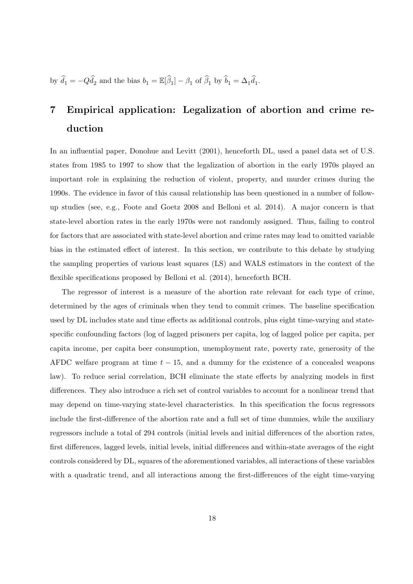by  $\hat{d}_1 = -Q\hat{d}_2$  and the bias  $b_1 = \mathbb{E}[\hat{\beta}_1] - \beta_1$  of  $\hat{\beta}_1$  by  $\hat{b}_1 = \Delta_1 \hat{d}_1$ .

# <span id="page-19-0"></span>7 Empirical application: Legalization of abortion and crime reduction

In an influential paper, Donohue and Levitt (2001), henceforth DL, used a panel data set of U.S. states from 1985 to 1997 to show that the legalization of abortion in the early 1970s played an important role in explaining the reduction of violent, property, and murder crimes during the 1990s. The evidence in favor of this causal relationship has been questioned in a number of followup studies (see, e.g., Foote and Goetz 2008 and Belloni et al. 2014). A major concern is that state-level abortion rates in the early 1970s were not randomly assigned. Thus, failing to control for factors that are associated with state-level abortion and crime rates may lead to omitted variable bias in the estimated effect of interest. In this section, we contribute to this debate by studying the sampling properties of various least squares (LS) and WALS estimators in the context of the flexible specifications proposed by Belloni et al. (2014), henceforth BCH.

The regressor of interest is a measure of the abortion rate relevant for each type of crime, determined by the ages of criminals when they tend to commit crimes. The baseline specification used by DL includes state and time effects as additional controls, plus eight time-varying and statespecific confounding factors (log of lagged prisoners per capita, log of lagged police per capita, per capita income, per capita beer consumption, unemployment rate, poverty rate, generosity of the AFDC welfare program at time  $t - 15$ , and a dummy for the existence of a concealed weapons law). To reduce serial correlation, BCH eliminate the state effects by analyzing models in first differences. They also introduce a rich set of control variables to account for a nonlinear trend that may depend on time-varying state-level characteristics. In this specification the focus regressors include the first-difference of the abortion rate and a full set of time dummies, while the auxiliary regressors include a total of 294 controls (initial levels and initial differences of the abortion rates, first differences, lagged levels, initial levels, initial differences and within-state averages of the eight controls considered by DL, squares of the aforementioned variables, all interactions of these variables with a quadratic trend, and all interactions among the first-differences of the eight time-varying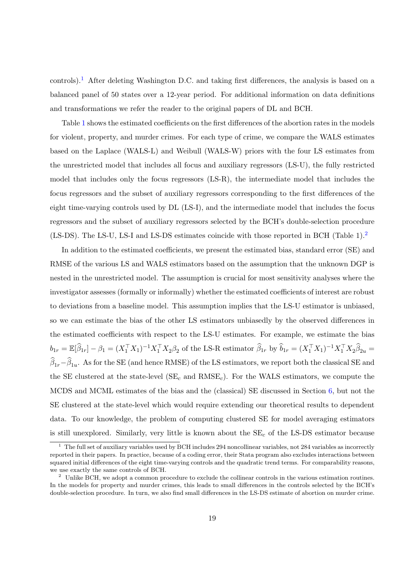controls).[1](#page-20-0) After deleting Washington D.C. and taking first differences, the analysis is based on a balanced panel of 50 states over a 12-year period. For additional information on data definitions and transformations we refer the reader to the original papers of DL and BCH.

Table [1](#page-27-0) shows the estimated coefficients on the first differences of the abortion rates in the models for violent, property, and murder crimes. For each type of crime, we compare the WALS estimates based on the Laplace (WALS-L) and Weibull (WALS-W) priors with the four LS estimates from the unrestricted model that includes all focus and auxiliary regressors (LS-U), the fully restricted model that includes only the focus regressors (LS-R), the intermediate model that includes the focus regressors and the subset of auxiliary regressors corresponding to the first differences of the eight time-varying controls used by DL (LS-I), and the intermediate model that includes the focus regressors and the subset of auxiliary regressors selected by the BCH's double-selection procedure (LS-DS). The LS-U, LS-I and LS-DS estimates coincide with those reported in BCH (Table 1).[2](#page-20-1)

In addition to the estimated coefficients, we present the estimated bias, standard error (SE) and RMSE of the various LS and WALS estimators based on the assumption that the unknown DGP is nested in the unrestricted model. The assumption is crucial for most sensitivity analyses where the investigator assesses (formally or informally) whether the estimated coefficients of interest are robust to deviations from a baseline model. This assumption implies that the LS-U estimator is unbiased, so we can estimate the bias of the other LS estimators unbiasedly by the observed differences in the estimated coefficients with respect to the LS-U estimates. For example, we estimate the bias  $b_{1r} = \mathbb{E}[\widehat{\beta}_{1r}] - \beta_1 = (X_1^{\top} X_1)^{-1} X_1^{\top} X_2 \beta_2$  of the LS-R estimator  $\widehat{\beta}_{1r}$  by  $\widehat{b}_{1r} = (X_1^{\top} X_1)^{-1} X_1^{\top} X_2 \widehat{\beta}_{2u}$  $\beta_{1r}-\beta_{1u}$ . As for the SE (and hence RMSE) of the LS estimators, we report both the classical SE and the SE clustered at the state-level  $(SE_c \text{ and RMSE}_c)$ . For the WALS estimators, we compute the MCDS and MCML estimates of the bias and the (classical) SE discussed in Section  $6$ , but not the SE clustered at the state-level which would require extending our theoretical results to dependent data. To our knowledge, the problem of computing clustered SE for model averaging estimators is still unexplored. Similarly, very little is known about the  $SE<sub>c</sub>$  of the LS-DS estimator because

<span id="page-20-0"></span> $1$  The full set of auxiliary variables used by BCH includes 294 noncollinear variables, not 284 variables as incorrectly reported in their papers. In practice, because of a coding error, their Stata program also excludes interactions between squared initial differences of the eight time-varying controls and the quadratic trend terms. For comparability reasons, we use exactly the same controls of BCH.

<span id="page-20-1"></span><sup>&</sup>lt;sup>2</sup> Unlike BCH, we adopt a common procedure to exclude the collinear controls in the various estimation routines. In the models for property and murder crimes, this leads to small differences in the controls selected by the BCH's double-selection procedure. In turn, we also find small differences in the LS-DS estimate of abortion on murder crime.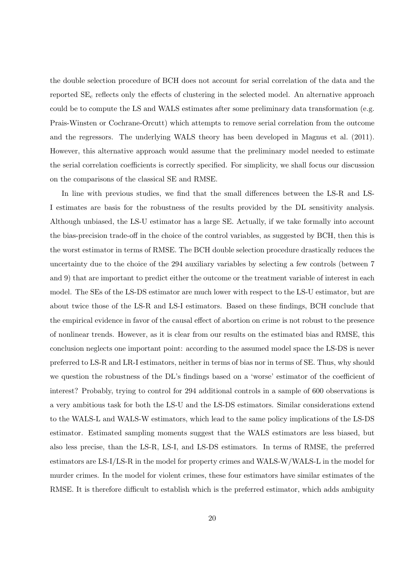the double selection procedure of BCH does not account for serial correlation of the data and the reported  $SE<sub>c</sub>$  reflects only the effects of clustering in the selected model. An alternative approach could be to compute the LS and WALS estimates after some preliminary data transformation (e.g. Prais-Winsten or Cochrane-Orcutt) which attempts to remove serial correlation from the outcome and the regressors. The underlying WALS theory has been developed in Magnus et al. (2011). However, this alternative approach would assume that the preliminary model needed to estimate the serial correlation coefficients is correctly specified. For simplicity, we shall focus our discussion on the comparisons of the classical SE and RMSE.

In line with previous studies, we find that the small differences between the LS-R and LS-I estimates are basis for the robustness of the results provided by the DL sensitivity analysis. Although unbiased, the LS-U estimator has a large SE. Actually, if we take formally into account the bias-precision trade-off in the choice of the control variables, as suggested by BCH, then this is the worst estimator in terms of RMSE. The BCH double selection procedure drastically reduces the uncertainty due to the choice of the 294 auxiliary variables by selecting a few controls (between 7 and 9) that are important to predict either the outcome or the treatment variable of interest in each model. The SEs of the LS-DS estimator are much lower with respect to the LS-U estimator, but are about twice those of the LS-R and LS-I estimators. Based on these findings, BCH conclude that the empirical evidence in favor of the causal effect of abortion on crime is not robust to the presence of nonlinear trends. However, as it is clear from our results on the estimated bias and RMSE, this conclusion neglects one important point: according to the assumed model space the LS-DS is never preferred to LS-R and LR-I estimators, neither in terms of bias nor in terms of SE. Thus, why should we question the robustness of the DL's findings based on a 'worse' estimator of the coefficient of interest? Probably, trying to control for 294 additional controls in a sample of 600 observations is a very ambitious task for both the LS-U and the LS-DS estimators. Similar considerations extend to the WALS-L and WALS-W estimators, which lead to the same policy implications of the LS-DS estimator. Estimated sampling moments suggest that the WALS estimators are less biased, but also less precise, than the LS-R, LS-I, and LS-DS estimators. In terms of RMSE, the preferred estimators are LS-I/LS-R in the model for property crimes and WALS-W/WALS-L in the model for murder crimes. In the model for violent crimes, these four estimators have similar estimates of the RMSE. It is therefore difficult to establish which is the preferred estimator, which adds ambiguity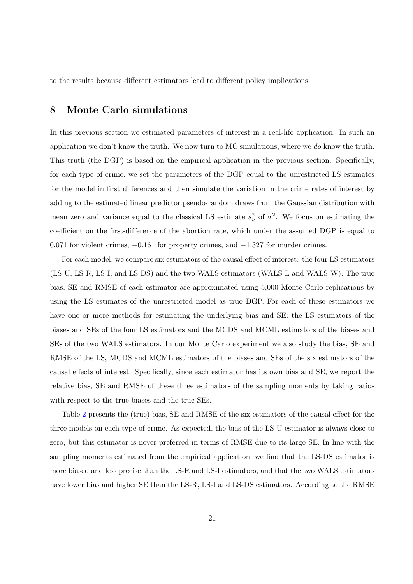to the results because different estimators lead to different policy implications.

## <span id="page-22-0"></span>8 Monte Carlo simulations

In this previous section we estimated parameters of interest in a real-life application. In such an application we don't know the truth. We now turn to MC simulations, where we do know the truth. This truth (the DGP) is based on the empirical application in the previous section. Specifically, for each type of crime, we set the parameters of the DGP equal to the unrestricted LS estimates for the model in first differences and then simulate the variation in the crime rates of interest by adding to the estimated linear predictor pseudo-random draws from the Gaussian distribution with mean zero and variance equal to the classical LS estimate  $s_u^2$  of  $\sigma^2$ . We focus on estimating the coefficient on the first-difference of the abortion rate, which under the assumed DGP is equal to 0.071 for violent crimes, −0.161 for property crimes, and −1.327 for murder crimes.

For each model, we compare six estimators of the causal effect of interest: the four LS estimators (LS-U, LS-R, LS-I, and LS-DS) and the two WALS estimators (WALS-L and WALS-W). The true bias, SE and RMSE of each estimator are approximated using 5,000 Monte Carlo replications by using the LS estimates of the unrestricted model as true DGP. For each of these estimators we have one or more methods for estimating the underlying bias and SE: the LS estimators of the biases and SEs of the four LS estimators and the MCDS and MCML estimators of the biases and SEs of the two WALS estimators. In our Monte Carlo experiment we also study the bias, SE and RMSE of the LS, MCDS and MCML estimators of the biases and SEs of the six estimators of the causal effects of interest. Specifically, since each estimator has its own bias and SE, we report the relative bias, SE and RMSE of these three estimators of the sampling moments by taking ratios with respect to the true biases and the true SEs.

Table [2](#page-28-0) presents the (true) bias, SE and RMSE of the six estimators of the causal effect for the three models on each type of crime. As expected, the bias of the LS-U estimator is always close to zero, but this estimator is never preferred in terms of RMSE due to its large SE. In line with the sampling moments estimated from the empirical application, we find that the LS-DS estimator is more biased and less precise than the LS-R and LS-I estimators, and that the two WALS estimators have lower bias and higher SE than the LS-R, LS-I and LS-DS estimators. According to the RMSE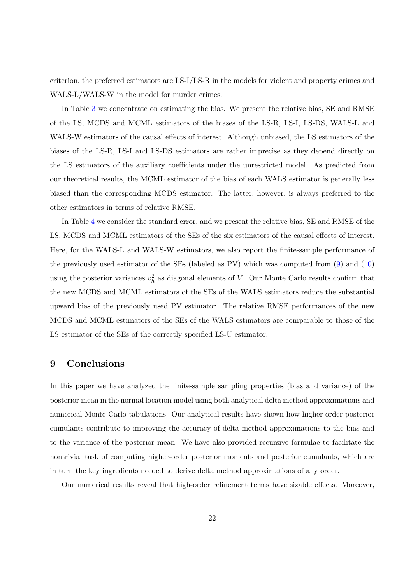criterion, the preferred estimators are LS-I/LS-R in the models for violent and property crimes and WALS-L/WALS-W in the model for murder crimes.

In Table [3](#page-29-0) we concentrate on estimating the bias. We present the relative bias, SE and RMSE of the LS, MCDS and MCML estimators of the biases of the LS-R, LS-I, LS-DS, WALS-L and WALS-W estimators of the causal effects of interest. Although unbiased, the LS estimators of the biases of the LS-R, LS-I and LS-DS estimators are rather imprecise as they depend directly on the LS estimators of the auxiliary coefficients under the unrestricted model. As predicted from our theoretical results, the MCML estimator of the bias of each WALS estimator is generally less biased than the corresponding MCDS estimator. The latter, however, is always preferred to the other estimators in terms of relative RMSE.

In Table [4](#page-30-0) we consider the standard error, and we present the relative bias, SE and RMSE of the LS, MCDS and MCML estimators of the SEs of the six estimators of the causal effects of interest. Here, for the WALS-L and WALS-W estimators, we also report the finite-sample performance of the previously used estimator of the SEs (labeled as PV) which was computed from [\(9\)](#page-17-3) and [\(10\)](#page-18-0) using the posterior variances  $v_h^2$  as diagonal elements of V. Our Monte Carlo results confirm that the new MCDS and MCML estimators of the SEs of the WALS estimators reduce the substantial upward bias of the previously used PV estimator. The relative RMSE performances of the new MCDS and MCML estimators of the SEs of the WALS estimators are comparable to those of the LS estimator of the SEs of the correctly specified LS-U estimator.

# <span id="page-23-0"></span>9 Conclusions

In this paper we have analyzed the finite-sample sampling properties (bias and variance) of the posterior mean in the normal location model using both analytical delta method approximations and numerical Monte Carlo tabulations. Our analytical results have shown how higher-order posterior cumulants contribute to improving the accuracy of delta method approximations to the bias and to the variance of the posterior mean. We have also provided recursive formulae to facilitate the nontrivial task of computing higher-order posterior moments and posterior cumulants, which are in turn the key ingredients needed to derive delta method approximations of any order.

Our numerical results reveal that high-order refinement terms have sizable effects. Moreover,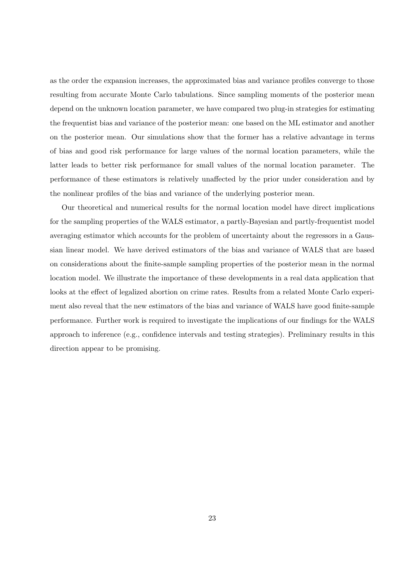as the order the expansion increases, the approximated bias and variance profiles converge to those resulting from accurate Monte Carlo tabulations. Since sampling moments of the posterior mean depend on the unknown location parameter, we have compared two plug-in strategies for estimating the frequentist bias and variance of the posterior mean: one based on the ML estimator and another on the posterior mean. Our simulations show that the former has a relative advantage in terms of bias and good risk performance for large values of the normal location parameters, while the latter leads to better risk performance for small values of the normal location parameter. The performance of these estimators is relatively unaffected by the prior under consideration and by the nonlinear profiles of the bias and variance of the underlying posterior mean.

Our theoretical and numerical results for the normal location model have direct implications for the sampling properties of the WALS estimator, a partly-Bayesian and partly-frequentist model averaging estimator which accounts for the problem of uncertainty about the regressors in a Gaussian linear model. We have derived estimators of the bias and variance of WALS that are based on considerations about the finite-sample sampling properties of the posterior mean in the normal location model. We illustrate the importance of these developments in a real data application that looks at the effect of legalized abortion on crime rates. Results from a related Monte Carlo experiment also reveal that the new estimators of the bias and variance of WALS have good finite-sample performance. Further work is required to investigate the implications of our findings for the WALS approach to inference (e.g., confidence intervals and testing strategies). Preliminary results in this direction appear to be promising.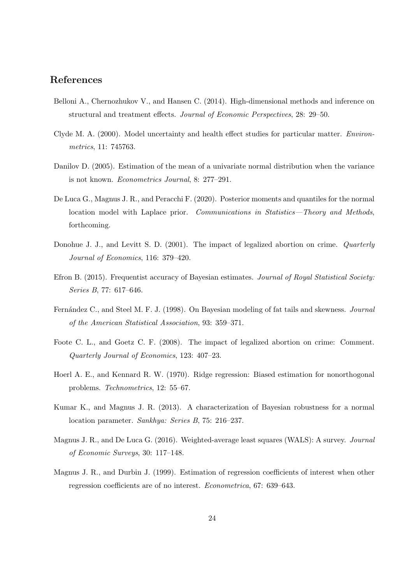# References

- Belloni A., Chernozhukov V., and Hansen C. (2014). High-dimensional methods and inference on structural and treatment effects. Journal of Economic Perspectives, 28: 29–50.
- Clyde M. A. (2000). Model uncertainty and health effect studies for particular matter. Environmetrics, 11: 745763.
- Danilov D. (2005). Estimation of the mean of a univariate normal distribution when the variance is not known. Econometrics Journal, 8: 277–291.
- De Luca G., Magnus J. R., and Peracchi F. (2020). Posterior moments and quantiles for the normal location model with Laplace prior. Communications in Statistics—Theory and Methods, forthcoming.
- Donohue J. J., and Levitt S. D. (2001). The impact of legalized abortion on crime. *Quarterly* Journal of Economics, 116: 379–420.
- Efron B. (2015). Frequentist accuracy of Bayesian estimates. Journal of Royal Statistical Society: Series B, 77: 617–646.
- Fernández C., and Steel M. F. J. (1998). On Bayesian modeling of fat tails and skewness. Journal of the American Statistical Association, 93: 359–371.
- Foote C. L., and Goetz C. F. (2008). The impact of legalized abortion on crime: Comment. Quarterly Journal of Economics, 123: 407–23.
- Hoerl A. E., and Kennard R. W. (1970). Ridge regression: Biased estimation for nonorthogonal problems. Technometrics, 12: 55–67.
- Kumar K., and Magnus J. R. (2013). A characterization of Bayesian robustness for a normal location parameter. Sankhya: Series B, 75: 216–237.
- Magnus J. R., and De Luca G. (2016). Weighted-average least squares (WALS): A survey. Journal of Economic Surveys, 30: 117–148.
- Magnus J. R., and Durbin J. (1999). Estimation of regression coefficients of interest when other regression coefficients are of no interest. Econometrica, 67: 639–643.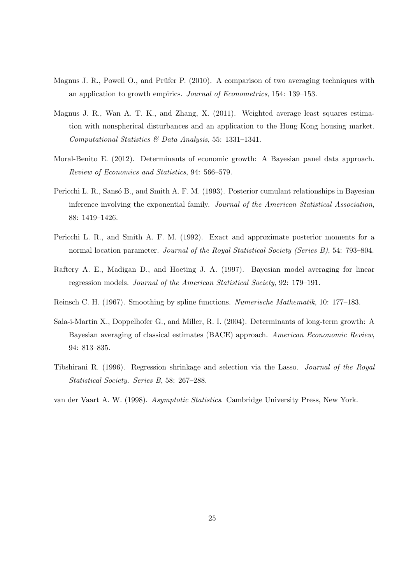- Magnus J. R., Powell O., and Prüfer P. (2010). A comparison of two averaging techniques with an application to growth empirics. Journal of Econometrics, 154: 139–153.
- Magnus J. R., Wan A. T. K., and Zhang, X. (2011). Weighted average least squares estimation with nonspherical disturbances and an application to the Hong Kong housing market. Computational Statistics & Data Analysis, 55: 1331–1341.
- Moral-Benito E. (2012). Determinants of economic growth: A Bayesian panel data approach. Review of Economics and Statistics, 94: 566–579.
- Pericchi L. R., Sansó B., and Smith A. F. M. (1993). Posterior cumulant relationships in Bayesian inference involving the exponential family. Journal of the American Statistical Association, 88: 1419–1426.
- Pericchi L. R., and Smith A. F. M. (1992). Exact and approximate posterior moments for a normal location parameter. Journal of the Royal Statistical Society (Series B), 54: 793–804.
- Raftery A. E., Madigan D., and Hoeting J. A. (1997). Bayesian model averaging for linear regression models. Journal of the American Statistical Society, 92: 179–191.
- Reinsch C. H. (1967). Smoothing by spline functions. Numerische Mathematik, 10: 177–183.
- Sala-i-Martin X., Doppelhofer G., and Miller, R. I. (2004). Determinants of long-term growth: A Bayesian averaging of classical estimates (BACE) approach. American Econonomic Review, 94: 813–835.
- Tibshirani R. (1996). Regression shrinkage and selection via the Lasso. Journal of the Royal Statistical Society. Series B, 58: 267–288.
- van der Vaart A. W. (1998). Asymptotic Statistics. Cambridge University Press, New York.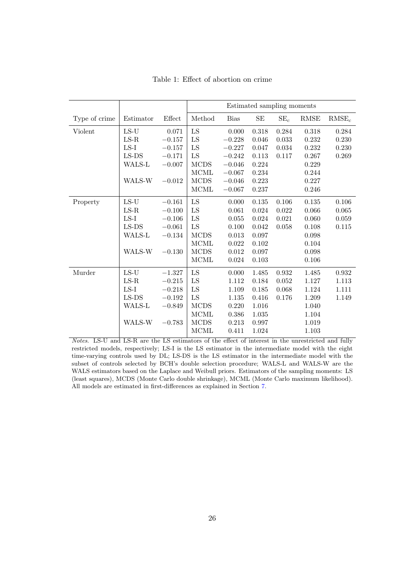<span id="page-27-0"></span>

|               |           |          | Estimated sampling moments |             |           |           |             |             |
|---------------|-----------|----------|----------------------------|-------------|-----------|-----------|-------------|-------------|
| Type of crime | Estimator | Effect   | Method                     | <b>Bias</b> | $\rm SE$  | $SE_c$    | <b>RMSE</b> | $RMSE_c$    |
| Violent       | $LS-U$    | 0.071    | ${\rm LS}$                 | 0.000       | 0.318     | 0.284     | 0.318       | 0.284       |
|               | $LS-R$    | $-0.157$ | LS                         | $-0.228$    | 0.046     | 0.033     | 0.232       | 0.230       |
|               | $LS-I$    | $-0.157$ | LS                         | $-0.227$    | 0.047     | 0.034     | 0.232       | 0.230       |
|               | $LS-DS$   | $-0.171$ | ${\rm LS}$                 | $-0.242$    | 0.113     | 0.117     | 0.267       | 0.269       |
|               | WALS-L    | $-0.007$ | <b>MCDS</b>                | $-0.046$    | 0.224     |           | 0.229       |             |
|               |           |          | $\rm MCML$                 | $-0.067$    | 0.234     |           | 0.244       |             |
|               | WALS-W    | $-0.012$ | <b>MCDS</b>                | $-0.046$    | 0.223     |           | 0.227       |             |
|               |           |          | $\rm MCML$                 | $-0.067$    | 0.237     |           | 0.246       |             |
| Property      | $LS-U$    | $-0.161$ | ${\rm LS}$                 | 0.000       | 0.135     | 0.106     | $0.135\,$   | 0.106       |
|               | $LS-R$    | $-0.100$ | ${\rm LS}$                 | 0.061       | 0.024     | 0.022     | 0.066       | 0.065       |
|               | $LS-I$    | $-0.106$ | ${\rm LS}$                 | 0.055       | 0.024     | 0.021     | 0.060       | $\,0.059\,$ |
|               | $LS-DS$   | $-0.061$ | LS                         | 0.100       | 0.042     | 0.058     | 0.108       | 0.115       |
|               | WALS-L    | $-0.134$ | <b>MCDS</b>                | 0.013       | 0.097     |           | 0.098       |             |
|               |           |          | MCML                       | 0.022       | 0.102     |           | 0.104       |             |
|               | WALS-W    | $-0.130$ | <b>MCDS</b>                | 0.012       | 0.097     |           | 0.098       |             |
|               |           |          | <b>MCML</b>                | 0.024       | $0.103\,$ |           | 0.106       |             |
| Murder        | $LS-U$    | $-1.327$ | ${\rm LS}$                 | 0.000       | 1.485     | 0.932     | 1.485       | 0.932       |
|               | $LS-R$    | $-0.215$ | LS                         | 1.112       | 0.184     | $0.052\,$ | 1.127       | 1.113       |
|               | $LS-I$    | $-0.218$ | LS                         | 1.109       | 0.185     | 0.068     | 1.124       | 1.111       |
|               | $LS-DS$   | $-0.192$ | ${\rm LS}$                 | 1.135       | 0.416     | 0.176     | 1.209       | 1.149       |
|               | WALS-L    | $-0.849$ | <b>MCDS</b>                | 0.220       | 1.016     |           | 1.040       |             |
|               |           |          | MCML                       | 0.386       | 1.035     |           | 1.104       |             |
|               | WALS-W    | $-0.783$ | <b>MCDS</b>                | 0.213       | 0.997     |           | 1.019       |             |
|               |           |          | <b>MCML</b>                | 0.411       | 1.024     |           | 1.103       |             |

Table 1: Effect of abortion on crime

Notes. LS-U and LS-R are the LS estimators of the effect of interest in the unrestricted and fully restricted models, respectively; LS-I is the LS estimator in the intermediate model with the eight time-varying controls used by DL; LS-DS is the LS estimator in the intermediate model with the subset of controls selected by BCH's double selection procedure; WALS-L and WALS-W are the WALS estimators based on the Laplace and Weibull priors. Estimators of the sampling moments: LS (least squares), MCDS (Monte Carlo double shrinkage), MCML (Monte Carlo maximum likelihood). All models are estimated in first-differences as explained in Section [7.](#page-19-0)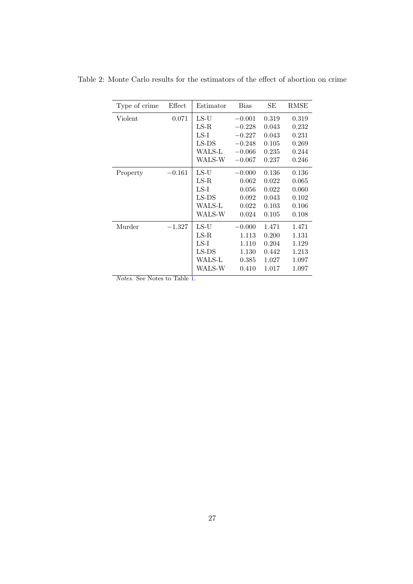| Type of crime                                            | Effect                    | Estimator     | <b>Bias</b> | SЕ    | RMSE  |
|----------------------------------------------------------|---------------------------|---------------|-------------|-------|-------|
| Violent                                                  | 0.071                     | $LS-U$        | $-0.001$    | 0.319 | 0.319 |
|                                                          |                           | $_{\rm LS-R}$ | $-0.228$    | 0.043 | 0.232 |
|                                                          |                           | $LS-I$        | $-0.227$    | 0.043 | 0.231 |
|                                                          |                           | $LS-DS$       | $-0.248$    | 0.105 | 0.269 |
|                                                          |                           | WALS-L        | $-0.066$    | 0.235 | 0.244 |
|                                                          |                           | WALS-W        | $-0.067$    | 0.237 | 0.246 |
| Property                                                 | $-0.161$                  | $LS-U$        | $-0.000$    | 0.136 | 0.136 |
|                                                          |                           | $_{\rm LS-R}$ | 0.062       | 0.022 | 0.065 |
|                                                          |                           | $LS-I$        | 0.056       | 0.022 | 0.060 |
|                                                          |                           | $LS-DS$       | 0.092       | 0.043 | 0.102 |
|                                                          |                           | WALS-L        | 0.022       | 0.103 | 0.106 |
|                                                          |                           | WALS-W        | 0.024       | 0.105 | 0.108 |
| Murder                                                   | $-1.327$                  | $LS-U$        | $-0.000$    | 1.471 | 1.471 |
|                                                          |                           | $LS-R$        | 1.113       | 0.200 | 1.131 |
|                                                          |                           | $LS-I$        | 1.110       | 0.204 | 1.129 |
|                                                          |                           | $LS-DS$       | 1.130       | 0.442 | 1.213 |
|                                                          |                           | WALS-L        | 0.385       | 1.027 | 1.097 |
|                                                          |                           | WALS-W        | 0.410       | 1.017 | 1.097 |
| $\overline{\alpha}$<br>$\overline{N}$<br>$\lambda T$ $I$ | $\overline{m}$ 11<br>- 11 |               |             |       |       |

<span id="page-28-0"></span>Table 2: Monte Carlo results for the estimators of the effect of abortion on crime

Notes. See Notes to Table [1.](#page-27-0)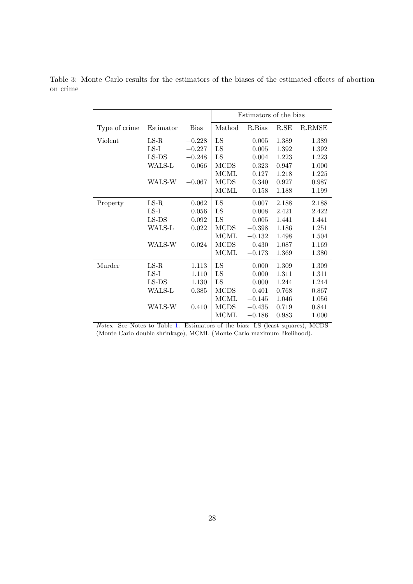|               |           |             | Estimators of the bias |          |       |        |
|---------------|-----------|-------------|------------------------|----------|-------|--------|
|               |           |             |                        |          |       |        |
| Type of crime | Estimator | <b>Bias</b> | Method                 | R.Bias   | R.E   | R.RMSE |
| Violent       | $LS-R$    | $-0.228$    | LS                     | 0.005    | 1.389 | 1.389  |
|               | $LS-I$    | $-0.227$    | LS                     | 0.005    | 1.392 | 1.392  |
|               | $LS-DS$   | $-0.248$    | LS                     | 0.004    | 1.223 | 1.223  |
|               | WALS-L    | $-0.066$    | <b>MCDS</b>            | 0.323    | 0.947 | 1.000  |
|               |           |             | MCML                   | 0.127    | 1.218 | 1.225  |
|               | WALS-W    | $-0.067$    | <b>MCDS</b>            | 0.340    | 0.927 | 0.987  |
|               |           |             | <b>MCML</b>            | 0.158    | 1.188 | 1.199  |
| Property      | $LS-R$    | 0.062       | LS                     | 0.007    | 2.188 | 2.188  |
|               | $LS-I$    | $\,0.056\,$ | LS                     | 0.008    | 2.421 | 2.422  |
|               | $LS-DS$   | 0.092       | LS                     | 0.005    | 1.441 | 1.441  |
|               | WALS-L    | 0.022       | $\rm{MCDS}$            | $-0.398$ | 1.186 | 1.251  |
|               |           |             | MCML                   | $-0.132$ | 1.498 | 1.504  |
|               | WALS-W    | 0.024       | <b>MCDS</b>            | $-0.430$ | 1.087 | 1.169  |
|               |           |             | MCML                   | $-0.173$ | 1.369 | 1.380  |
| Murder        | $LS-R$    | 1.113       | LS                     | 0.000    | 1.309 | 1.309  |
|               | $LS-I$    | 1.110       | LS                     | 0.000    | 1.311 | 1.311  |
|               | $LS-DS$   | 1.130       | LS                     | 0.000    | 1.244 | 1.244  |
|               | WALS-L    | 0.385       | <b>MCDS</b>            | $-0.401$ | 0.768 | 0.867  |
|               |           |             | MCML                   | $-0.145$ | 1.046 | 1.056  |
|               | WALS-W    | 0.410       | <b>MCDS</b>            | $-0.435$ | 0.719 | 0.841  |
|               |           |             | <b>MCML</b>            | $-0.186$ | 0.983 | 1.000  |

<span id="page-29-0"></span>Table 3: Monte Carlo results for the estimators of the biases of the estimated effects of abortion on crime

Notes. See Notes to Table [1.](#page-27-0) Estimators of the bias: LS (least squares), MCDS (Monte Carlo double shrinkage), MCML (Monte Carlo maximum likelihood).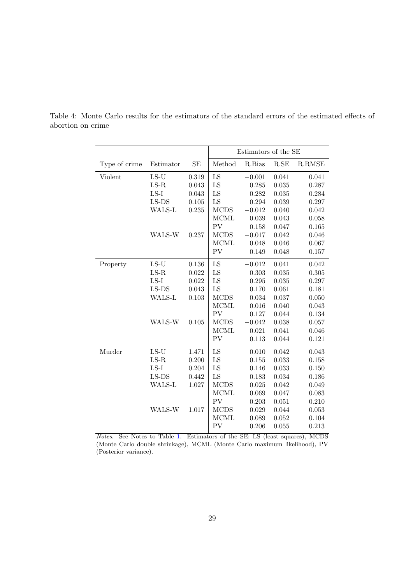|               |                       |          | Estimators of the SE |          |                      |        |  |
|---------------|-----------------------|----------|----------------------|----------|----------------------|--------|--|
| Type of crime | Estimator             | $\rm SE$ | Method               | R.Bias   | $\operatorname{R.E}$ | R.RMSE |  |
| Violent       | $LS-U$                | 0.319    | LS                   | $-0.001$ | 0.041                | 0.041  |  |
|               | $LS-R$                | 0.043    | LS                   | 0.285    | 0.035                | 0.287  |  |
|               | $LS-I$                | 0.043    | LS                   | 0.282    | 0.035                | 0.284  |  |
|               | $LS-DS$               | 0.105    | LS                   | 0.294    | 0.039                | 0.297  |  |
|               | WALS-L                | 0.235    | <b>MCDS</b>          | $-0.012$ | 0.040                | 0.042  |  |
|               |                       |          | <b>MCML</b>          | 0.039    | 0.043                | 0.058  |  |
|               |                       |          | PV                   | 0.158    | 0.047                | 0.165  |  |
|               | WALS-W                | 0.237    | <b>MCDS</b>          | $-0.017$ | 0.042                | 0.046  |  |
|               |                       |          | <b>MCML</b>          | 0.048    | 0.046                | 0.067  |  |
|               |                       |          | PV                   | 0.149    | 0.048                | 0.157  |  |
| Property      | $\operatorname{LS-U}$ | 0.136    | LS                   | $-0.012$ | 0.041                | 0.042  |  |
|               | $LS-R$                | 0.022    | LS                   | 0.303    | 0.035                | 0.305  |  |
|               | $LS-I$                | 0.022    | LS                   | 0.295    | 0.035                | 0.297  |  |
|               | $LS-DS$               | 0.043    | LS                   | 0.170    | 0.061                | 0.181  |  |
|               | WALS-L                | 0.103    | <b>MCDS</b>          | $-0.034$ | 0.037                | 0.050  |  |
|               |                       |          | <b>MCML</b>          | 0.016    | 0.040                | 0.043  |  |
|               |                       |          | ${\rm PV}$           | 0.127    | 0.044                | 0.134  |  |
|               | WALS-W                | 0.105    | <b>MCDS</b>          | $-0.042$ | 0.038                | 0.057  |  |
|               |                       |          | <b>MCML</b>          | 0.021    | 0.041                | 0.046  |  |
|               |                       |          | PV                   | 0.113    | 0.044                | 0.121  |  |
| Murder        | $LS-U$                | 1.471    | LS                   | 0.010    | 0.042                | 0.043  |  |
|               | $_{\rm LS-R}$         | 0.200    | LS                   | 0.155    | 0.033                | 0.158  |  |
|               | $LS-I$                | 0.204    | LS                   | 0.146    | 0.033                | 0.150  |  |
|               | $LS-DS$               | 0.442    | LS                   | 0.183    | 0.034                | 0.186  |  |
|               | WALS-L                | 1.027    | <b>MCDS</b>          | 0.025    | 0.042                | 0.049  |  |
|               |                       |          | <b>MCML</b>          | 0.069    | 0.047                | 0.083  |  |
|               |                       |          | PV                   | 0.203    | 0.051                | 0.210  |  |
|               | WALS-W                | 1.017    | <b>MCDS</b>          | 0.029    | 0.044                | 0.053  |  |
|               |                       |          | <b>MCML</b>          | 0.089    | 0.052                | 0.104  |  |
|               |                       |          | PV                   | 0.206    | 0.055                | 0.213  |  |

<span id="page-30-0"></span>Table 4: Monte Carlo results for the estimators of the standard errors of the estimated effects of abortion on crime

Notes. See Notes to Table [1.](#page-27-0) Estimators of the SE: LS (least squares), MCDS (Monte Carlo double shrinkage), MCML (Monte Carlo maximum likelihood), PV (Posterior variance).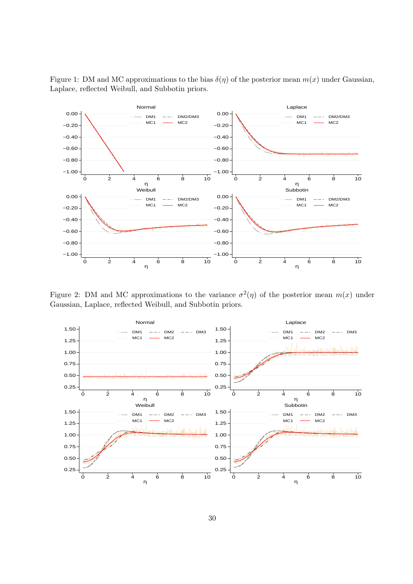

<span id="page-31-0"></span>Figure 1: DM and MC approximations to the bias  $\delta(\eta)$  of the posterior mean  $m(x)$  under Gaussian, Laplace, reflected Weibull, and Subbotin priors.

<span id="page-31-1"></span>Figure 2: DM and MC approximations to the variance  $\sigma^2(\eta)$  of the posterior mean  $m(x)$  under Gaussian, Laplace, reflected Weibull, and Subbotin priors.

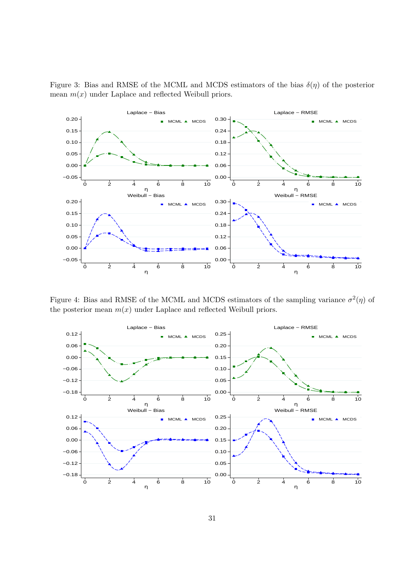

<span id="page-32-0"></span>Figure 3: Bias and RMSE of the MCML and MCDS estimators of the bias  $\delta(\eta)$  of the posterior mean  $m(x)$  under Laplace and reflected Weibull priors.

<span id="page-32-1"></span>Figure 4: Bias and RMSE of the MCML and MCDS estimators of the sampling variance  $\sigma^2(\eta)$  of the posterior mean  $m(x)$  under Laplace and reflected Weibull priors.

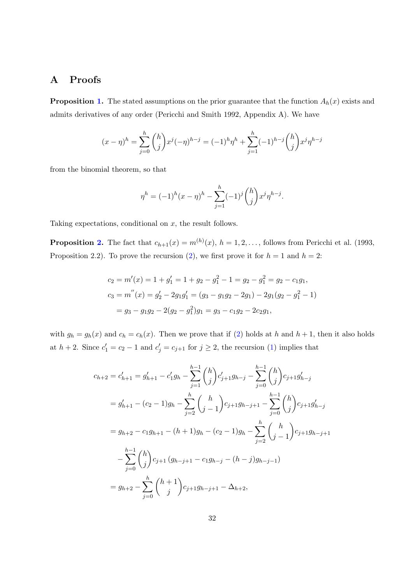# A Proofs

**Proposition [1.](#page-5-0)** The stated assumptions on the prior guarantee that the function  $A_h(x)$  exists and admits derivatives of any order (Pericchi and Smith 1992, Appendix A). We have

$$
(x - \eta)^h = \sum_{j=0}^h {h \choose j} x^j (-\eta)^{h-j} = (-1)^h \eta^h + \sum_{j=1}^h (-1)^{h-j} {h \choose j} x^j \eta^{h-j}
$$

from the binomial theorem, so that

$$
\eta^{h} = (-1)^{h} (x - \eta)^{h} - \sum_{j=1}^{h} (-1)^{j} {h \choose j} x^{j} \eta^{h-j}.
$$

Taking expectations, conditional on  $x$ , the result follows.

**Proposition [2.](#page-6-1)** The fact that  $c_{h+1}(x) = m^{(h)}(x)$ ,  $h = 1, 2, ...,$  follows from Pericchi et al. (1993, Proposition 2.2). To prove the recursion [\(2\)](#page-6-2), we first prove it for  $h = 1$  and  $h = 2$ :

$$
c_2 = m'(x) = 1 + g'_1 = 1 + g_2 - g_1^2 - 1 = g_2 - g_1^2 = g_2 - c_1g_1,
$$
  
\n
$$
c_3 = m''(x) = g'_2 - 2g_1g'_1 = (g_3 - g_1g_2 - 2g_1) - 2g_1(g_2 - g_1^2 - 1)
$$
  
\n
$$
= g_3 - g_1g_2 - 2(g_2 - g_1^2)g_1 = g_3 - c_1g_2 - 2c_2g_1,
$$

with  $g_h = g_h(x)$  and  $c_h = c_h(x)$ . Then we prove that if [\(2\)](#page-6-2) holds at h and  $h + 1$ , then it also holds at  $h + 2$ . Since  $c'_1 = c_2 - 1$  and  $c'_j = c_{j+1}$  for  $j \geq 2$ , the recursion [\(1\)](#page-5-1) implies that

$$
c_{h+2} = c'_{h+1} = g'_{h+1} - c'_{1}g_{h} - \sum_{j=1}^{h-1} {h \choose j} c'_{j+1}g_{h-j} - \sum_{j=0}^{h-1} {h \choose j} c_{j+1}g'_{h-j}
$$
  
\n
$$
= g'_{h+1} - (c_{2} - 1)g_{h} - \sum_{j=2}^{h} {h \choose j-1} c_{j+1}g_{h-j+1} - \sum_{j=0}^{h-1} {h \choose j} c_{j+1}g'_{h-j}
$$
  
\n
$$
= g_{h+2} - c_{1}g_{h+1} - (h+1)g_{h} - (c_{2} - 1)g_{h} - \sum_{j=2}^{h} {h \choose j-1} c_{j+1}g_{h-j+1}
$$
  
\n
$$
- \sum_{j=0}^{h-1} {h \choose j} c_{j+1} (g_{h-j+1} - c_{1}g_{h-j} - (h-j)g_{h-j-1})
$$
  
\n
$$
= g_{h+2} - \sum_{j=0}^{h} {h+1 \choose j} c_{j+1}g_{h-j+1} - \Delta_{h+2},
$$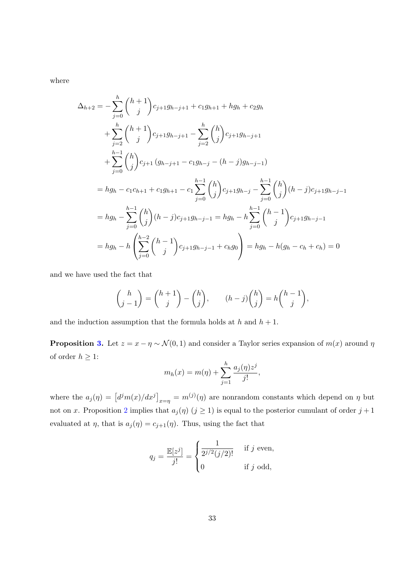where

$$
\Delta_{h+2} = -\sum_{j=0}^{h} {h+1 \choose j} c_{j+1} g_{h-j+1} + c_1 g_{h+1} + h g_h + c_2 g_h
$$
  
+ 
$$
\sum_{j=2}^{h} {h+1 \choose j} c_{j+1} g_{h-j+1} - \sum_{j=2}^{h} {h \choose j} c_{j+1} g_{h-j+1}
$$
  
+ 
$$
\sum_{j=0}^{h-1} {h \choose j} c_{j+1} (g_{h-j+1} - c_1 g_{h-j} - (h-j) g_{h-j-1})
$$
  
= 
$$
h g_h - c_1 c_{h+1} + c_1 g_{h+1} - c_1 \sum_{j=0}^{h-1} {h \choose j} c_{j+1} g_{h-j} - \sum_{j=0}^{h-1} {h \choose j} (h-j) c_{j+1} g_{h-j-1}
$$
  
= 
$$
h g_h - \sum_{j=0}^{h-1} {h \choose j} (h-j) c_{j+1} g_{h-j-1} = h g_h - h \sum_{j=0}^{h-1} {h-1 \choose j} c_{j+1} g_{h-j-1}
$$
  
= 
$$
h g_h - h \left( \sum_{j=0}^{h-2} {h-1 \choose j} c_{j+1} g_{h-j-1} + c_h g_0 \right) = h g_h - h (g_h - c_h + c_h) = 0
$$

and we have used the fact that

$$
\binom{h}{j-1} = \binom{h+1}{j} - \binom{h}{j}, \qquad (h-j)\binom{h}{j} = h\binom{h-1}{j},
$$

and the induction assumption that the formula holds at  $h$  and  $h + 1$ .

**Proposition [3.](#page-8-1)** Let  $z = x - \eta \sim \mathcal{N}(0, 1)$  and consider a Taylor series expansion of  $m(x)$  around  $\eta$ of order  $h\geq 1:$ h

$$
m_h(x) = m(\eta) + \sum_{j=1}^h \frac{a_j(\eta)z^j}{j!},
$$

where the  $a_j(\eta) = [d^j m(x)/dx^j]_{x=\eta} = m^{(j)}(\eta)$  are nonrandom constants which depend on  $\eta$  but not on x. Proposition [2](#page-6-1) implies that  $a_j(\eta)$   $(j \geq 1)$  is equal to the posterior cumulant of order  $j+1$ evaluated at  $\eta$ , that is  $a_j(\eta) = c_{j+1}(\eta)$ . Thus, using the fact that

$$
q_j = \frac{\mathbb{E}[z^j]}{j!} = \begin{cases} \frac{1}{2^{j/2}(j/2)!} & \text{if } j \text{ even,} \\ 0 & \text{if } j \text{ odd,} \end{cases}
$$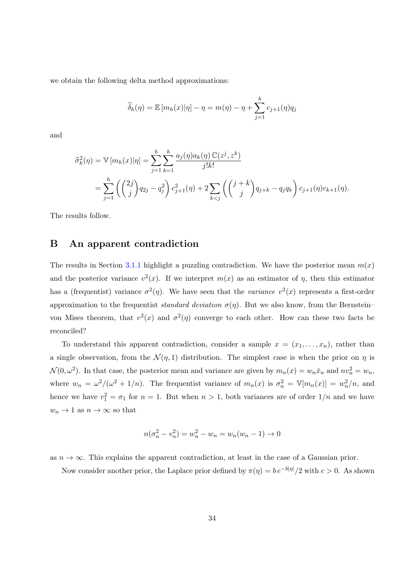we obtain the following delta method approximations:

$$
\widehat{\delta}_h(\eta) = \mathbb{E}\left[m_h(x)|\eta\right] - \eta = m(\eta) - \eta + \sum_{j=1}^h c_{j+1}(\eta)q_j
$$

and

$$
\hat{\sigma}_h^2(\eta) = \mathbb{V}[m_h(x)|\eta] = \sum_{j=1}^h \sum_{k=1}^h \frac{a_j(\eta)a_k(\eta) \mathbb{C}(z^j, z^k)}{j!k!}
$$
  
= 
$$
\sum_{j=1}^h \left( \binom{2j}{j} q_{2j} - q_j^2 \right) c_{j+1}^2(\eta) + 2 \sum_{k < j} \left( \binom{j+k}{j} q_{j+k} - q_j q_k \right) c_{j+1}(\eta) c_{k+1}(\eta).
$$

The results follow.

## <span id="page-35-0"></span>B An apparent contradiction

The results in Section [3.1.1](#page-8-0) highlight a puzzling contradiction. We have the posterior mean  $m(x)$ and the posterior variance  $v^2(x)$ . If we interpret  $m(x)$  as an estimator of  $\eta$ , then this estimator has a (frequentist) variance  $\sigma^2(\eta)$ . We have seen that the variance  $v^2(x)$  represents a first-order approximation to the frequentist *standard deviation*  $\sigma(\eta)$ . But we also know, from the Bernstein– von Mises theorem, that  $v^2(x)$  and  $\sigma^2(\eta)$  converge to each other. How can these two facts be reconciled?

To understand this apparent contradiction, consider a sample  $x = (x_1, \ldots, x_n)$ , rather than a single observation, from the  $\mathcal{N}(\eta,1)$  distribution. The simplest case is when the prior on  $\eta$  is  $\mathcal{N}(0,\omega^2)$ . In that case, the posterior mean and variance are given by  $m_n(x) = w_n\bar{x}_n$  and  $nv_n^2 = w_n$ , where  $w_n = \omega^2/(\omega^2 + 1/n)$ . The frequentist variance of  $m_n(x)$  is  $\sigma_n^2 = \mathbb{V}[m_n(x)] = w_n^2/n$ , and hence we have  $v_1^2 = \sigma_1$  for  $n = 1$ . But when  $n > 1$ , both variances are of order  $1/n$  and we have  $w_n \to 1$  as  $n \to \infty$  so that

$$
n(\sigma_n^2 - v_n^2) = w_n^2 - w_n = w_n(w_n - 1) \to 0
$$

as  $n \to \infty$ . This explains the apparent contradiction, at least in the case of a Gaussian prior.

Now consider another prior, the Laplace prior defined by  $\pi(\eta) = be^{-b|\eta|}/2$  with  $c > 0$ . As shown